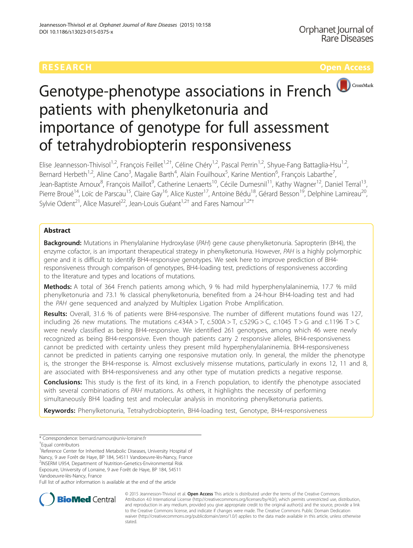

# Genotype-phenotype associations in French patients with phenylketonuria and importance of genotype for full assessment of tetrahydrobiopterin responsiveness

Elise Jeannesson-Thivisol<sup>1,2</sup>, François Feillet<sup>1,2†</sup>, Céline Chéry<sup>1,2</sup>, Pascal Perrin<sup>1,2</sup>, Shyue-Fang Battaglia-Hsu<sup>1,2</sup>, Bernard Herbeth<sup>1,2</sup>, Aline Cano<sup>3</sup>, Magalie Barth<sup>4</sup>, Alain Fouilhoux<sup>5</sup>, Karine Mention<sup>6</sup>, François Labarthe<sup>7</sup> , Jean-Baptiste Arnoux<sup>8</sup>, François Maillot<sup>9</sup>, Catherine Lenaerts<sup>10</sup>, Cécile Dumesnil<sup>11</sup>, Kathy Wagner<sup>12</sup>, Daniel Terral<sup>13</sup>, Pierre Broué<sup>14</sup>, Loïc de Parscau<sup>15</sup>, Claire Gay<sup>16</sup>, Alice Kuster<sup>17</sup>, Antoine Bédu<sup>18</sup>, Gérard Besson<sup>19</sup>, Delphine Lamireau<sup>20</sup>, Sylvie Odent<sup>21</sup>, Alice Masurel<sup>22</sup>, Jean-Louis Guéant<sup>1,2†</sup> and Fares Namour<sup>1,2\*†</sup>

# Abstract

**Background:** Mutations in Phenylalanine Hydroxylase (PAH) gene cause phenylketonuria. Sapropterin (BH4), the enzyme cofactor, is an important therapeutical strategy in phenylketonuria. However, PAH is a highly polymorphic gene and it is difficult to identify BH4-responsive genotypes. We seek here to improve prediction of BH4 responsiveness through comparison of genotypes, BH4-loading test, predictions of responsiveness according to the literature and types and locations of mutations.

Methods: A total of 364 French patients among which, 9 % had mild hyperphenylalaninemia, 17.7 % mild phenylketonuria and 73.1 % classical phenylketonuria, benefited from a 24-hour BH4-loading test and had the PAH gene sequenced and analyzed by Multiplex Ligation Probe Amplification.

Results: Overall, 31.6 % of patients were BH4-responsive. The number of different mutations found was 127, including 26 new mutations. The mutations  $c.434A > T$ ,  $c.500A > T$ ,  $c.529G > C$ ,  $c.1045T > G$  and  $c.1196T > C$ were newly classified as being BH4-responsive. We identified 261 genotypes, among which 46 were newly recognized as being BH4-responsive. Even though patients carry 2 responsive alleles, BH4-responsiveness cannot be predicted with certainty unless they present mild hyperphenylalaninemia. BH4-responsiveness cannot be predicted in patients carrying one responsive mutation only. In general, the milder the phenotype is, the stronger the BH4-response is. Almost exclusively missense mutations, particularly in exons 12, 11 and 8, are associated with BH4-responsiveness and any other type of mutation predicts a negative response.

**Conclusions:** This study is the first of its kind, in a French population, to identify the phenotype associated with several combinations of PAH mutations. As others, it highlights the necessity of performing simultaneously BH4 loading test and molecular analysis in monitoring phenylketonuria patients.

Keywords: Phenylketonuria, Tetrahydrobiopterin, BH4-loading test, Genotype, BH4-responsiveness

Equal contributors

<sup>1</sup>Reference Center for Inherited Metabolic Diseases, University Hospital of Nancy, 9 ave Forêt de Haye, BP 184, 54511 Vandoeuvre-lès-Nancy, France 2 INSERM U954, Department of Nutrition-Genetics-Environmental Risk Exposure, University of Lorraine, 9 ave Forêt de Haye, BP 184, 54511 Vandoeuvre-lès-Nancy, France

Full list of author information is available at the end of the article



© 2015 Jeannesson-Thivisol et al. Open Access This article is distributed under the terms of the Creative Commons Attribution 4.0 International License [\(http://creativecommons.org/licenses/by/4.0/](http://creativecommons.org/licenses/by/4.0/)), which permits unrestricted use, distribution, and reproduction in any medium, provided you give appropriate credit to the original author(s) and the source, provide a link to the Creative Commons license, and indicate if changes were made. The Creative Commons Public Domain Dedication waiver [\(http://creativecommons.org/publicdomain/zero/1.0/\)](http://creativecommons.org/publicdomain/zero/1.0/) applies to the data made available in this article, unless otherwise stated

<sup>\*</sup> Correspondence: [bernard.namour@univ-lorraine.fr](mailto:bernard.namour@univ-lorraine.fr) †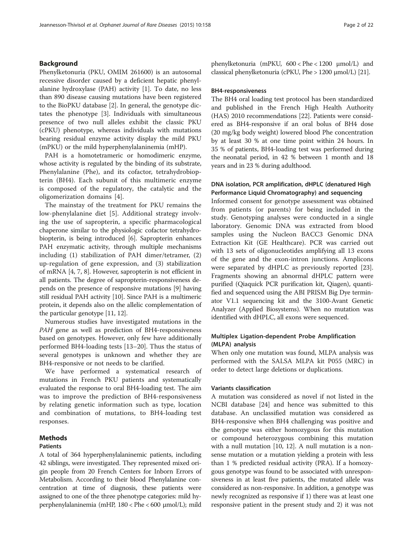# Background

Phenylketonuria (PKU, OMIM 261600) is an autosomal recessive disorder caused by a deficient hepatic phenylalanine hydroxylase (PAH) activity [\[1](#page-21-0)]. To date, no less than 890 disease causing mutations have been registered to the BioPKU database [\[2](#page-21-0)]. In general, the genotype dictates the phenotype [[3\]](#page-21-0). Individuals with simultaneous presence of two null alleles exhibit the classic PKU (cPKU) phenotype, whereas individuals with mutations bearing residual enzyme activity display the mild PKU (mPKU) or the mild hyperphenylalaninemia (mHP).

PAH is a homotetrameric or homodimeric enzyme, whose activity is regulated by the binding of its substrate, Phenylalanine (Phe), and its cofactor, tetrahydrobiopterin (BH4). Each subunit of this multimeric enzyme is composed of the regulatory, the catalytic and the oligomerization domains [\[4](#page-21-0)].

The mainstay of the treatment for PKU remains the low-phenylalanine diet [[5\]](#page-21-0). Additional strategy involving the use of sapropterin, a specific pharmacological chaperone similar to the physiologic cofactor tetrahydrobiopterin, is being introduced [[6\]](#page-21-0). Sapropterin enhances PAH enzymatic activity, through multiple mechanisms including (1) stabilization of PAH dimer/tetramer, (2) up-regulation of gene expression, and (3) stabilization of mRNA [[4](#page-21-0), [7](#page-21-0), [8\]](#page-21-0). However, sapropterin is not efficient in all patients. The degree of sapropterin-responsiveness depends on the presence of responsive mutations [\[9](#page-21-0)] having still residual PAH activity [\[10\]](#page-21-0). Since PAH is a multimeric protein, it depends also on the allelic complementation of the particular genotype [[11, 12\]](#page-21-0).

Numerous studies have investigated mutations in the PAH gene as well as prediction of BH4-responsiveness based on genotypes. However, only few have additionally performed BH4-loading tests [\[13](#page-21-0)–[20\]](#page-21-0). Thus the status of several genotypes is unknown and whether they are BH4-responsive or not needs to be clarified.

We have performed a systematical research of mutations in French PKU patients and systematically evaluated the response to oral BH4-loading test. The aim was to improve the prediction of BH4-responsiveness by relating genetic information such as type, location and combination of mutations, to BH4-loading test responses.

# Methods

#### Patients

A total of 364 hyperphenylalaninemic patients, including 42 siblings, were investigated. They represented mixed origin people from 20 French Centers for Inborn Errors of Metabolism. According to their blood Phenylalanine concentration at time of diagnosis, these patients were assigned to one of the three phenotype categories: mild hyperphenylalaninemia (mHP, 180 < Phe < 600 μmol/L); mild phenylketonuria (mPKU, 600 < Phe < 1200 μmol/L) and classical phenylketonuria (cPKU, Phe > 1200 μmol/L) [\[21\]](#page-21-0).

### BH4-responsiveness

The BH4 oral loading test protocol has been standardized and published in the French High Health Authority (HAS) 2010 recommendations [\[22\]](#page-21-0). Patients were considered as BH4-responsive if an oral bolus of BH4 dose (20 mg/kg body weight) lowered blood Phe concentration by at least 30 % at one time point within 24 hours. In 35 % of patients, BH4-loading test was performed during the neonatal period, in 42 % between 1 month and 18 years and in 23 % during adulthood.

# DNA isolation, PCR amplification, dHPLC (denatured High Performance Liquid Chromatography) and sequencing

Informed consent for genotype assessment was obtained from patients (or parents) for being included in the study. Genotyping analyses were conducted in a single laboratory. Genomic DNA was extracted from blood samples using the Nucleon BACC3 Genomic DNA Extraction Kit (GE Healthcare). PCR was carried out with 13 sets of oligonucleotides amplifying all 13 exons of the gene and the exon-intron junctions. Amplicons were separated by dHPLC as previously reported [\[23](#page-21-0)]. Fragments showing an abnormal dHPLC pattern were purified (Qiaquick PCR purification kit, Qiagen), quantified and sequenced using the ABI PRISM Big Dye terminator V1.1 sequencing kit and the 3100-Avant Genetic Analyzer (Applied Biosystems). When no mutation was identified with dHPLC, all exons were sequenced.

# Multiplex Ligation-dependent Probe Amplification (MLPA) analysis

When only one mutation was found, MLPA analysis was performed with the SALSA MLPA kit P055 (MRC) in order to detect large deletions or duplications.

#### Variants classification

A mutation was considered as novel if not listed in the NCBI database [[24](#page-21-0)] and hence was submitted to this database. An unclassified mutation was considered as BH4-responsive when BH4 challenging was positive and the genotype was either homozygous for this mutation or compound heterozygous combining this mutation with a null mutation [\[10, 12](#page-21-0)]. A null mutation is a nonsense mutation or a mutation yielding a protein with less than 1 % predicted residual activity (PRA). If a homozygous genotype was found to be associated with unresponsiveness in at least five patients, the mutated allele was considered as non-responsive. In addition, a genotype was newly recognized as responsive if 1) there was at least one responsive patient in the present study and 2) it was not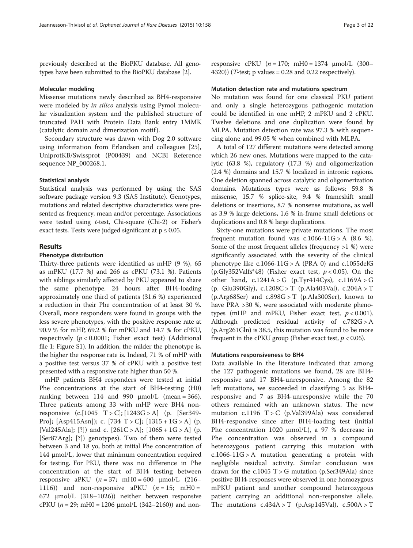previously described at the BioPKU database. All genotypes have been submitted to the BioPKU database [[2\]](#page-21-0).

#### Molecular modeling

Missense mutations newly described as BH4-responsive were modeled by in silico analysis using Pymol molecular visualization system and the published structure of truncated PAH with Protein Data Bank entry 1MMK (catalytic domain and dimerization motif ).

Secondary structure was drawn with Dog 2.0 software using information from Erlandsen and colleagues [\[25](#page-21-0)], UniprotKB/Swissprot (P00439) and NCBI Reference sequence NP\_000268.1.

#### Statistical analysis

Statistical analysis was performed by using the SAS software package version 9.3 (SAS Institute). Genotypes, mutations and related descriptive characteristics were presented as frequency, mean and/or percentage. Associations were tested using t-test, Chi-square (Chi-2) or Fisher's exact tests. Tests were judged significant at  $p \leq 0.05$ .

#### Results

### Phenotype distribution

Thirty-three patients were identified as mHP (9 %), 65 as mPKU (17.7 %) and 266 as cPKU (73.1 %). Patients with siblings similarly affected by PKU appeared to share the same phenotype. 24 hours after BH4-loading approximately one third of patients (31.6 %) experienced a reduction in their Phe concentration of at least 30 %. Overall, more responders were found in groups with the less severe phenotypes, with the positive response rate at 90.9 % for mHP, 69.2 % for mPKU and 14.7 % for cPKU, respectively  $(p < 0.0001$ ; Fisher exact test) (Additional file [1](#page-20-0): Figure S1). In addition, the milder the phenotype is, the higher the response rate is. Indeed, 71 % of mHP with a positive test versus 37 % of cPKU with a positive test presented with a responsive rate higher than 50 %.

mHP patients BH4 responders were tested at initial Phe concentrations at the start of BH4-testing (H0) ranking between 114 and 990  $\mu$ mol/L (mean = 366). Three patients among 33 with mHP were BH4 nonresponsive  $(c.[1045 T > C]; [1243G > A]$  (p. [Ser349-Pro]; [Asp415Asn]); c. [734 T > C]; [1315 + 1G > A] (p. [Val245Ala]; [?]) and c.  $[261C > A]$ ;  $[1065 + 1G > A]$  (p. [Ser87Arg]; [?]) genotypes). Two of them were tested between 3 and 18 yo, both at initial Phe concentration of 144 μmol/L, lower that minimum concentration required for testing. For PKU, there was no difference in Phe concentration at the start of BH4 testing between responsive aPKU  $(n = 37; \text{ mH0} = 600 \text{ \mu} \text{mol/L}$  (216– 1116)) and non-responsive aPKU  $(n = 15; mH0 =$ 672 μmol/L (318–1026)) neither between responsive cPKU ( $n = 29$ ; mH0 = 1206  $\mu$ mol/L (342–2160)) and non-

responsive cPKU  $(n = 170; mH0 = 1374 \text{ \mu} \text{mol/L}$  (300– 4320)) (*T*-test; p values =  $0.28$  and  $0.22$  respectively).

#### Mutation detection rate and mutations spectrum

No mutation was found for one classical PKU patient and only a single heterozygous pathogenic mutation could be identified in one mHP, 2 mPKU and 2 cPKU. Twelve deletions and one duplication were found by MLPA. Mutation detection rate was 97.3 % with sequencing alone and 99.05 % when combined with MLPA.

A total of 127 different mutations were detected among which 26 new ones. Mutations were mapped to the catalytic (63.8 %), regulatory (17.3 %) and oligomerization (2.4 %) domains and 15.7 % localized in intronic regions. One deletion spanned across catalytic and oligomerization domains. Mutations types were as follows: 59.8 % missense, 15.7 % splice-site, 9.4 % frameshift small deletions or insertions, 8.7 % nonsense mutations, as well as 3.9 % large deletions, 1.6 % in-frame small deletions or duplications and 0.8 % large duplications.

Sixty-one mutations were private mutations. The most frequent mutation found was  $c.1066-11G > A$  (8.6 %). Some of the most frequent alleles (frequency >1 %) were significantly associated with the severity of the clinical phenotype like  $c.1066-11G > A$  (PRA 0) and  $c.1055$ delG (p.Gly352Valfs\*48) (Fisher exact test,  $p < 0.05$ ). On the other hand,  $c.1241A > G$  (p.Tyr414Cys),  $c.1169A > G$ (p. Glu390Gly),  $c.1208C > T$  (p. Ala403Val),  $c.204A > T$  $(p.Arg68Ser)$  and  $c.898G > T$  (p.Ala300Ser), known to have PRA >30 %, were associated with moderate phenotypes (mHP and mPKU, Fisher exact test,  $p < 0.001$ ). Although predicted residual activity of  $c.782G > A$ (p.Arg261Gln) is 38.5, this mutation was found to be more frequent in the cPKU group (Fisher exact test,  $p < 0.05$ ).

# Mutations responsiveness to BH4

Data available in the literature indicated that among the 127 pathogenic mutations we found, 28 are BH4 responsive and 17 BH4-unresponsive. Among the 82 left mutations, we succeeded in classifying 5 as BH4 responsive and 7 as BH4-unresponsive while the 70 others remained with an unknown status. The new mutation c.1196 T > C (p.Val399Ala) was considered BH4-responsive since after BH4-loading test (initial Phe concentration 1020 μmol/L), a 97 % decrease in Phe concentration was observed in a compound heterozygous patient carrying this mutation with  $c.1066-11G > A$  mutation generating a protein with negligible residual activity. Similar conclusion was drawn for the  $c.1045$  T  $>$  G mutation (p.Ser349Ala) since positive BH4-responses were observed in one homozygous mPKU patient and another compound heterozygous patient carrying an additional non-responsive allele. The mutations  $c.434A > T$  (p.Asp145Val),  $c.500A > T$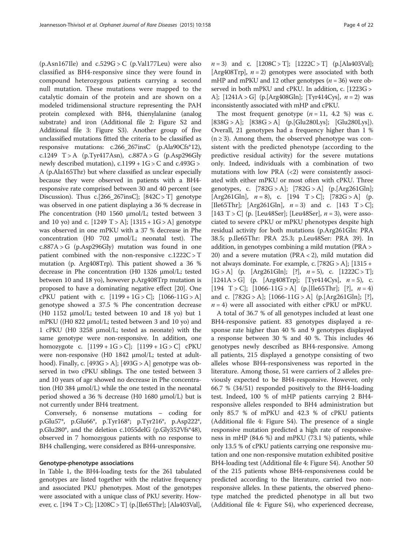$(p.Asn167$ Ile) and  $c.529$ G > C  $(p.Val177$ Leu) were also classified as BH4-responsive since they were found in compound heterozygous patients carrying a second null mutation. These mutations were mapped to the catalytic domain of the protein and are shown on a modeled tridimensional structure representing the PAH protein complexed with BH4, thienylalanine (analog substrate) and iron (Additional file [2](#page-20-0): Figure S2 and Additional file [3](#page-20-0): Figure S3). Another group of five unclassified mutations fitted the criteria to be classified as responsive mutations: c.266\_267insC (p.Ala90Cfs\*12), c.1249  $T > A$  (p.Tyr417Asn), c.887A > G (p.Asp296Gly newly described mutation),  $c.1199 + 1G > C$  and  $c.493G >$ A (p.Ala165Thr) but where classified as unclear especially because they were observed in patients with a BH4 responsive rate comprised between 30 and 40 percent (see [Discussion\)](#page-18-0). Thus  $c.[266_267insC]$ ;  $[842C > T]$  genotype was observed in one patient displaying a 36 % decrease in Phe concentration (H0 1560 μmol/L; tested between 3 and 10 yo) and c.  $[1249 \text{ T} > A]$ ;  $[1315 + 1G > A]$  genotype was observed in one mPKU with a 37 % decrease in Phe concentration (H0 702 μmol/L; neonatal test). The  $c.887A > G$  (p.Asp296Gly) mutation was found in one patient combined with the non-responsive  $c.1222C > T$ mutation (p. Arg408Trp). This patient showed a 36 % decrease in Phe concentration (H0 1326 μmol/L; tested between 10 and 18 yo), however p.Arg408Trp mutation is proposed to have a dominating negative effect [[20](#page-21-0)]. One cPKU patient with c.  $[1199 + 1G > C]$ ;  $[1066 - 11G > A]$ genotype showed a 37.5 % Phe concentration decrease (H0 1152 μmol/L; tested between 10 and 18 yo) but 1 mPKU ((H0 822 μmol/L; tested between 3 and 10 yo) and 1 cPKU (H0 3258 μmol/L; tested as neonate) with the same genotype were non-responsive. In addition, one homozygote c.  $[1199 + 1G > C]$ ;  $[1199 + 1G > C]$  cPKU were non-responsive (H0 1842 μmol/L; tested at adulthood). Finally, c.  $[493G > A]$ ;  $[493G > A]$  genotype was observed in two cPKU siblings. The one tested between 3 and 10 years of age showed no decrease in Phe concentration (H0 384 μmol/L) while the one tested in the neonatal period showed a 36 % decrease (H0 1680 μmol/L) but is not currently under BH4 treatment.

Conversely, 6 nonsense mutations – coding for p.Glu57\*, p.Glu66\*, p.Tyr168\*; p.Tyr216\*, p.Asp222\*, p.Glu280\*, and the deletion c.1055delG (p.Gly352Vfs\*48), observed in 7 homozygous patients with no response to BH4 challenging, were considered as BH4-unresponsive.

# Genotype-phenotype associations

In Table [1,](#page-4-0) the BH4-loading tests for the 261 tabulated genotypes are listed together with the relative frequency and associated PKU phenotypes. Most of the genotypes were associated with a unique class of PKU severity. However, c.  $[194 \text{ T} > C]$ ;  $[1208C > T]$  (p. [Ile65Thr]; [Ala403Val],  $n = 3$ ) and c.  $[1208C > T]$ ;  $[1222C > T]$  (p.[Ala403Val]; [Arg408Trp],  $n = 2$ ] genotypes were associated with both mHP and mPKU and 12 other genotypes ( $n = 36$ ) were observed in both mPKU and cPKU. In addition, c. [1223G > A];  $[1241A > G]$  (p. [Arg408Gln]; [Tyr414Cys],  $n = 2$ ) was inconsistently associated with mHP and cPKU.

The most frequent genotype  $(n = 11, 4.2 \%)$  was c.  $[838G > A]$ ;  $[838G > A]$  (p. [Glu280Lys]; [Glu280Lys]). Overall, 21 genotypes had a frequency higher than 1 %  $(n \geq 3)$ . Among them, the observed phenotype was consistent with the predicted phenotype (according to the predictive residual activity) for the severe mutations only. Indeed, individuals with a combination of two mutations with low PRA  $\left\langle \langle 2 \rangle \right\rangle$  were consistently associated with either mPKU or most often with cPKU. Three genotypes, c. [782G > A]; [782G > A] (p.[Arg261Gln]; [Arg261Gln],  $n = 8$ ), c. [194 T > C]; [782G > A] (p. [Ile65Thr]; [Arg261Gln],  $n = 3$  and c. [143 T > C]; [143 T > C] (p. [Leu48Ser]; [Leu48Ser],  $n = 3$ ), were associated to severe cPKU or mPKU phenotypes despite high residual activity for both mutations (p.Arg261Gln: PRA 38.5; p.Ile65Thr: PRA 25.3; p.Leu48Ser: PRA 39). In addition, in genotypes combining a mild mutation (PRA > 20) and a severe mutation (PRA < 2), mild mutation did not always dominate. For example, c. [782G > A]; [1315 +  $1G > A$  (p. [Arg261Gln]; [?],  $n = 5$ ), c. [1222C > T]; [1241A > G] (p. [Arg408Trp]; [Tyr414Cys],  $n = 5$ ), c. [194 T > C];  $[1066-11G > A]$  (p. [Ile65Thr]; [?],  $n = 4$ ) and c.  $[782G > A]$ ;  $[1066-11G > A]$  (p. [Arg261Gln]; [?],  $n = 4$ ) were all associated with either cPKU or mPKU.

A total of 36.7 % of all genotypes included at least one BH4-responsive patient. 83 genotypes displayed a response rate higher than 40 % and 9 genotypes displayed a response between 30 % and 40 %. This includes 46 genotypes newly described as BH4-responsive. Among all patients, 215 displayed a genotype consisting of two alleles whose BH4-responsiveness was reported in the literature. Among those, 51 were carriers of 2 alleles previously expected to be BH4-responsive. However, only 66.7 % (34/51) responded positively to the BH4-loading test. Indeed, 100 % of mHP patients carrying 2 BH4 responsive alleles responded to BH4 administration but only 85.7 % of mPKU and 42.3 % of cPKU patients (Additional file [4](#page-20-0): Figure S4). The presence of a single responsive mutation predicted a high rate of responsiveness in mHP (84.6 %) and mPKU (73.1 %) patients, while only 13.5 % of cPKU patients carrying one responsive mutation and one non-responsive mutation exhibited positive BH4-loading test (Additional file [4:](#page-20-0) Figure S4). Another 50 of the 215 patients whose BH4-responsiveness could be predicted according to the literature, carried two nonresponsive alleles. In these patients, the observed phenotype matched the predicted phenotype in all but two (Additional file [4](#page-20-0): Figure S4), who experienced decrease,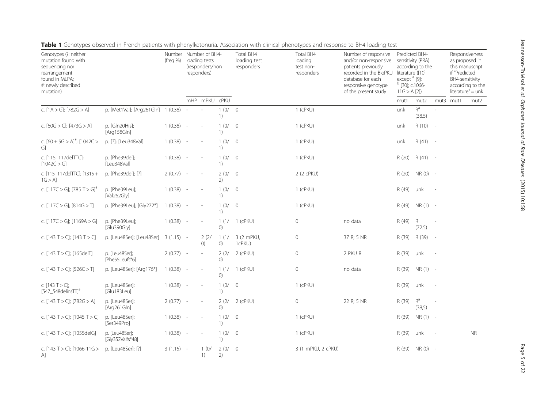|                                                                                                                                      |                                    |                          |        |                                                                   |                           |                                         | $\sim$                                          |                                                                                                                                                                    |                                                                                          |                                                         |                          |                                                                       |                                                           |
|--------------------------------------------------------------------------------------------------------------------------------------|------------------------------------|--------------------------|--------|-------------------------------------------------------------------|---------------------------|-----------------------------------------|-------------------------------------------------|--------------------------------------------------------------------------------------------------------------------------------------------------------------------|------------------------------------------------------------------------------------------|---------------------------------------------------------|--------------------------|-----------------------------------------------------------------------|-----------------------------------------------------------|
| Genotypes (?: neither<br>mutation found with<br>sequencing nor<br>rearrangement<br>found in MLPA;<br>#: newly described<br>mutation) |                                    | Number<br>$($ freg % $)$ |        | Number of BH4-<br>loading tests<br>(responders/non<br>responders) |                           | Total BH4<br>loading test<br>responders | Total BH4<br>loading<br>test non-<br>responders | Number of responsive<br>and/or non-responsive<br>patients previously<br>recorded in the BioPKU<br>database for each<br>responsive genotype<br>of the present study | literature ([10]<br>except <sup>a</sup> [9];<br><sup>b</sup> [30]; c.1066-<br>11G > A[2] | Predicted BH4-<br>sensitivity (PRA)<br>according to the |                          | as proposed in<br>this manuscript<br>if "Predicted<br>BH4-sensitivity | Responsiveness<br>according to the<br>$literature" = unk$ |
|                                                                                                                                      |                                    |                          |        | mHP mPKU cPKU                                                     |                           |                                         |                                                 |                                                                                                                                                                    | mut1                                                                                     | mut2                                                    | mut3                     | mut1                                                                  | mut2                                                      |
| c. $[1A > G]$ ; $[782G > A]$                                                                                                         | p. [Met1Val]; [Arg261Gln] 1 (0.38) |                          |        |                                                                   | 1(0/ 0<br>1)              |                                         | 1 (cPKU)                                        |                                                                                                                                                                    | unk                                                                                      | $\mathsf{R}^\mathsf{a}$<br>(38.5)                       |                          |                                                                       |                                                           |
| c. $[60G > C]$ ; $[473G > A]$                                                                                                        | p. [Gln20His];<br>[Arg158Gln]      | $1(0.38) -$              |        |                                                                   | 1(0/ 0<br>1)              |                                         | $1$ (cPKU)                                      |                                                                                                                                                                    | unk                                                                                      | R (10)                                                  | $\overline{\phantom{a}}$ |                                                                       |                                                           |
| c. $[60 + 5G > A]^{\#}$ ; $[1042C >$<br>G)                                                                                           | p. [?]; [Leu348Val]                | $1(0.38) -$              |        |                                                                   | 1(0/<br>1)                | $\overline{0}$                          | 1 (cPKU)                                        |                                                                                                                                                                    | unk                                                                                      | $R(41) -$                                               |                          |                                                                       |                                                           |
| c. [115_117delTTC];<br>[1042C > G]                                                                                                   | p. [Phe39del];<br>[Leu348Val]      | $1(0.38) -$              |        |                                                                   | 1(0/<br>1)                | $\overline{0}$                          | 1 (cPKU)                                        |                                                                                                                                                                    | R (20)                                                                                   | R (41) -                                                |                          |                                                                       |                                                           |
| c. [115_117delTTC]; [1315+<br>$1G > A$ ]                                                                                             | p. [Phe39del]; [?]                 | $2(0.77) -$              |        |                                                                   | 2(0/<br>2)                | $\overline{0}$                          | 2 (2 cPKU)                                      |                                                                                                                                                                    | R (20)                                                                                   | NR (0) -                                                |                          |                                                                       |                                                           |
| c. [117C > G]; [785 T > G] <sup>#</sup>                                                                                              | p. [Phe39Leu];<br>[Val262Gly]      | $1(0.38) -$              |        |                                                                   | 1(0/ 0<br>1)              |                                         | 1 (cPKU)                                        |                                                                                                                                                                    | R (49)                                                                                   | unk                                                     |                          |                                                                       |                                                           |
| c. $[117C > G]$ ; $[814G > T]$                                                                                                       | p. [Phe39Leu]; [Gly272*]           | $1(0.38) -$              |        |                                                                   | 1(0/<br>1)                | $\overline{0}$                          | 1 (cPKU)                                        |                                                                                                                                                                    | R (49)                                                                                   | $NR(1) -$                                               |                          |                                                                       |                                                           |
| c. $[117C > G]$ ; $[1169A > G]$                                                                                                      | p. [Phe39Leu];<br>[Glu390Gly]      | $1(0.38) -$              |        |                                                                   | 1(1/<br>()                | 1 (cPKU)                                | 0                                               | no data                                                                                                                                                            | R (49)                                                                                   | $\mathsf R$<br>(72.5)                                   |                          |                                                                       |                                                           |
| c. [143 T > C]; [143 T > C]                                                                                                          | p. [Leu48Ser]; [Leu48Ser]          | $3(1.15) -$              |        | 2(2/<br>()                                                        | 1(1/<br>$\left( 0\right)$ | 3 (2 mPKU,<br>1cPKU)                    | 0                                               | 37 R; 5 NR                                                                                                                                                         | R (39)                                                                                   | R (39)                                                  | $\overline{\phantom{a}}$ |                                                                       |                                                           |
| c. [143 T > C]; [165delT]                                                                                                            | p. [Leu48Ser];<br>[Phe55Leufs*6]   | $2(0.77) -$              |        | $\overline{\phantom{a}}$                                          | 2(2/<br>()                | 2 (cPKU)                                | 0                                               | 2 PKU R                                                                                                                                                            | R (39)                                                                                   | unk                                                     |                          |                                                                       |                                                           |
| c. [143 T > C]; [526C > T]                                                                                                           | p. [Leu48Ser]; [Arg176*]           | 1(0.38)                  | $\sim$ |                                                                   | ()                        | 1 (1/ 1 (cPKU)                          | 0                                               | no data                                                                                                                                                            | R (39)                                                                                   | $NR(1) -$                                               |                          |                                                                       |                                                           |
| c. $[143 T > C]$ ;<br>$[547]$ _548delinsTT] <sup>#</sup>                                                                             | p. [Leu48Ser];<br>[Glu183Leu]      | $1(0.38) -$              |        |                                                                   | 1(0/<br>1)                | $\overline{0}$                          | $1$ (cPKU)                                      |                                                                                                                                                                    | R (39)                                                                                   | unk                                                     |                          |                                                                       |                                                           |
| c. [143 T > C]; [782G > A]                                                                                                           | p. [Leu48Ser];<br>[Arg261Gln]      | $2(0.77) -$              |        |                                                                   | 2(2/<br>$\left( 0\right)$ | 2 (cPKU)                                | 0                                               | 22 R; 5 NR                                                                                                                                                         | R (39)                                                                                   | $R^a$<br>(38,5)                                         |                          |                                                                       |                                                           |
| c. $[143 T > C]$ ; $[1045 T > C]$                                                                                                    | p. [Leu48Ser];<br>[Ser349Pro]      | $1(0.38) -$              |        |                                                                   | 1(0/<br>1)                | $\overline{0}$                          | $1$ (cPKU)                                      |                                                                                                                                                                    | R (39)                                                                                   | $NR(1) -$                                               |                          |                                                                       |                                                           |
| c. [143 T > C]; [1055delG]                                                                                                           | p. [Leu48Ser];<br>[Gly352Valfs*48] | $1(0.38) -$              |        |                                                                   | 1(0/<br>1)                | $\overline{0}$                          | $1$ (cPKU)                                      |                                                                                                                                                                    | R (39)                                                                                   | unk                                                     |                          |                                                                       | <b>NR</b>                                                 |
| c. $[143 T > C]$ ; $[1066 - 11G >$<br>A]                                                                                             | p. [Leu48Ser]; [?]                 | $3(1.15) -$              |        | 1(0/<br>1)                                                        | 2(0/<br>2)                | $\overline{0}$                          | 3 (1 mPKU, 2 cPKU)                              |                                                                                                                                                                    | R (39)                                                                                   | NR (0) -                                                |                          |                                                                       |                                                           |

<span id="page-4-0"></span>Table 1 Genotypes observed in French patients with phenylketonuria. Association with clinical phenotypes and response to BH4 loading-test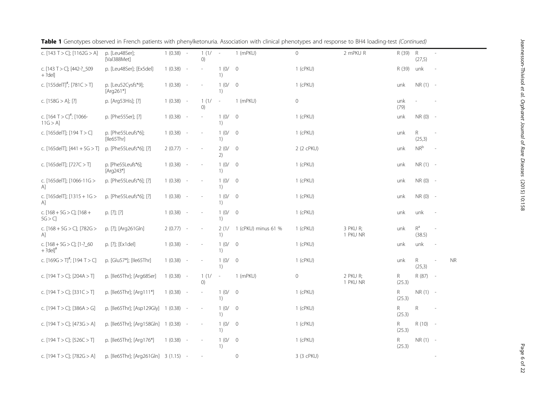| c. [143 T > C]; [1162G > A]                          | p. [Leu48Ser];<br>[Val388Met]         | $1(0.38) -$ |                          | 1(1/<br>O)               | $\sim$                                                  | 1 (mPKU)            | $\circ$             | 2 mPKU R             | R (39)       | $\mathsf R$<br>(27,5)                 | $\mathcal{L}_{\mathcal{A}}$ |           |
|------------------------------------------------------|---------------------------------------|-------------|--------------------------|--------------------------|---------------------------------------------------------|---------------------|---------------------|----------------------|--------------|---------------------------------------|-----------------------------|-----------|
| c. [143 T > C]; [442-?_509<br>$+ ?del]$              | p. [Leu48Ser]; [Ex5del]               | 1(0.38)     | $\sim$                   |                          | 1(0/<br>1)                                              | $\overline{0}$      | $1$ (cPKU)          |                      | R (39)       | unk                                   |                             |           |
| c. [155delT] <sup>#</sup> ; [781C > T]               | p. [Leu52Cysfs*9];<br>[Arg261*]       | 1(0.38)     | $\sim$                   | $\overline{a}$           | 1(0/<br>1)                                              | $\overline{0}$      | 1 (cPKU)            |                      | unk          | NR (1) -                              |                             |           |
| c. $[158G > A]$ ; [?]                                | p. [Arg53His]; [?]                    | $1(0.38) -$ |                          | 1(1/<br>()               | $\overline{\phantom{a}}$                                | 1 (mPKU)            | $\mathsf{O}\xspace$ |                      | unk<br>(79)  |                                       |                             |           |
| c. $[164 T > C]^{\#}$ ; [1066-<br>$11G > A$ ]        | p. [Phe55Ser]; [?]                    | $1(0.38) -$ |                          |                          | 1(0/<br>1)                                              | $\overline{0}$      | $1$ (cPKU)          |                      | unk          | $NR(0) -$                             |                             |           |
| c. [165delT]; [194 T > C]                            | p. [Phe55Leufs*6];<br>[lle65Thr]      | 1(0.38)     | $\sim$                   | $\overline{\phantom{a}}$ | 1(0/<br>1)                                              | $\overline{0}$      | 1 (cPKU)            |                      | unk          | R.<br>(25,3)                          | $\sim$                      |           |
| c. [165delT]; $[441 + 5G > T]$                       | p. [Phe55Leufs*6]; [?]                | 2(0.77)     | $\overline{\phantom{a}}$ | $\overline{a}$           | 2(0/ 0<br>2)                                            |                     | 2 (2 cPKU)          |                      | unk          | $\ensuremath{\mathsf{NR}^\mathrm{b}}$ |                             |           |
| c. [165delT]; [727C > T]                             | p. [Phe55Leufs*6];<br>[Arg243*]       | 1(0.38)     | $\sim$                   | $\overline{a}$           | 1(0/<br>1)                                              | $\overline{0}$      | $1$ (cPKU)          |                      | unk          | $NR(1) -$                             |                             |           |
| c. [165delT]; [1066-11G ><br>A1                      | p. [Phe55Leufs*6]; [?]                | 1(0.38)     | $\sim$                   |                          | 1(0/0)<br>1)                                            |                     | $1$ (cPKU)          |                      | unk          | NR (0) -                              |                             |           |
| c. [165delT]; [1315 + 1G ><br>$\mathsf{A}$           | p. [Phe55Leufs*6]; [?]                | 1(0.38)     | $\overline{\phantom{a}}$ |                          | 1(0/0)<br>1)                                            |                     | $1$ (cPKU)          |                      | unk          | NR (0) -                              |                             |           |
| c. $[168 + 5G > C]$ ; $[168 +$<br>5G > C             | p. [?]; [?]                           | 1(0.38)     | $\sim$                   | $\overline{\phantom{a}}$ | 1(0/<br>1)                                              | $\overline{0}$      | 1 (cPKU)            |                      | unk          | unk                                   |                             |           |
| c. $[168 + 5G > C]$ ; $[782G >$<br>$\mathsf{A}$      | p. [?]; [Arg261Gln]                   | $2(0.77) -$ |                          | i,                       | 2(1/<br>1)                                              | 1 (cPKU) minus 61 % | 1 (cPKU)            | 3 PKU R;<br>1 PKU NR | unk          | $R^a$<br>(38.5)                       | i,                          |           |
| c. [168 + 5G > C]; [1-?_60<br>$+ ?$ del <sup>1</sup> | p. [?]; [Ex1del]                      | $1(0.38) -$ |                          | $\overline{a}$           | 1(0/<br>1)                                              | $\overline{0}$      | $1$ (cPKU)          |                      | unk          | unk                                   |                             |           |
| c. $[169G > T]^{\#}$ ; $[194 T > C]$                 | p. [Glu57*]; [Ile65Thr]               | $1(0.38) -$ |                          |                          | 1(0/<br>$\left( \begin{array}{c} 1 \end{array} \right)$ | $\overline{0}$      | $1$ (cPKU)          |                      | unk          | R.<br>(25,3)                          | ×,                          | <b>NR</b> |
| c. [194 T > C]; [204A > T]                           | p. [Ile65Thr]; [Arg68Ser]             | 1(0.38)     | $\sim$                   | 1(1/<br>()               | $\overline{\phantom{a}}$                                | 1 (mPKU)            | $\mathsf{O}\xspace$ | 2 PKU R;<br>1 PKU NR | R.<br>(25.3) | R (87) -                              |                             |           |
| c. [194 T > C]; [331 C > T]                          | p. [Ile65Thr]; [Arg111*]              | 1(0.38)     | $\sim$                   | $\overline{a}$           | 1(0/<br>1)                                              | $\overline{0}$      | 1 (cPKU)            |                      | R.<br>(25.3) | $NR(1) -$                             |                             |           |
| c. [194 T > C]; [386A > G]                           | p. [Ile65Thr]; [Asp129Gly] 1 (0.38)   |             | $\sim$                   | $\frac{1}{2}$            | 1(0/<br>1)                                              | $\overline{0}$      | $1$ (cPKU)          |                      | R.<br>(25.3) | R                                     |                             |           |
| c. [194 T > C]; [473G > A]                           | p. [Ile65Thr]; [Arg158Gln] 1 (0.38) - |             |                          |                          | 1(0/<br>1)                                              | $\overline{0}$      | 1 (cPKU)            |                      | R.<br>(25.3) | $R(10) -$                             |                             |           |
| c. [194 T > C]; [526C > T]                           | p. [Ile65Thr]; [Arg176*]              | 1(0.38)     | $\overline{\phantom{a}}$ |                          | 1(0/<br>1)                                              | $\overline{0}$      | 1 (cPKU)            |                      | R.<br>(25.3) | NR (1) -                              |                             |           |
| c. [194 T > C]; [782G > A]                           | p. [Ile65Thr]; [Arg261Gln] 3 (1.15) - |             |                          |                          |                                                         | $\circ$             | 3 (3 cPKU)          |                      |              |                                       |                             |           |

|  | Table 1 Genotypes observed in French patients with phenylketonuria. Association with clinical phenotypes and response to BH4 loading-test (Continued) |  |  |  |  |  |  |
|--|-------------------------------------------------------------------------------------------------------------------------------------------------------|--|--|--|--|--|--|
|--|-------------------------------------------------------------------------------------------------------------------------------------------------------|--|--|--|--|--|--|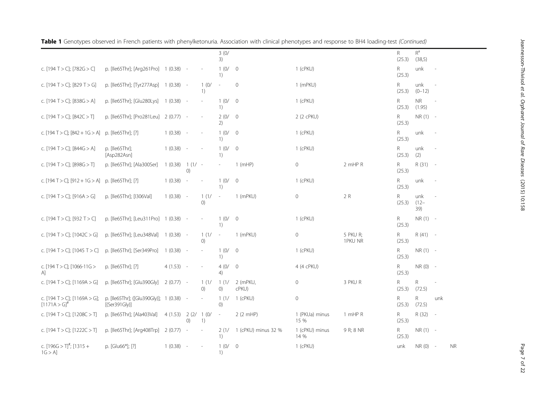|                                                            |                                                           |             |                               |                          | 3(0/<br>3)               |                     |                        |                     | R<br>(25.3)               | $\mathsf{R}^\mathsf{a}$<br>(38,5) |                          |           |
|------------------------------------------------------------|-----------------------------------------------------------|-------------|-------------------------------|--------------------------|--------------------------|---------------------|------------------------|---------------------|---------------------------|-----------------------------------|--------------------------|-----------|
| c. [194 T > C]; [782G > C]                                 | p. [Ile65Thr]; [Arg261Pro] 1 (0.38) -                     |             |                               |                          | 1(0/<br>1)               | $\overline{0}$      | $1$ (cPKU)             |                     | R.<br>(25.3)              | unk                               |                          |           |
| c. [194 T > C]; [829 T > G]                                | p. [Ile65Thr]; [Tyr277Asp]                                | $1(0.38) -$ |                               | 1(0/<br>1)               | $\overline{\phantom{a}}$ | $\circ$             | 1 (mPKU)               |                     | R<br>(25.3)               | unk<br>$(0 - 12)$                 |                          |           |
| c. [194 T > C]; [838G > A]                                 | p. [Ile65Thr]; [Glu280Lys] 1 (0.38) -                     |             |                               | $\overline{\phantom{a}}$ | 1(0/<br>1)               | $\overline{0}$      | $1$ (cPKU)             |                     | R.<br>(25.3)              | <b>NR</b><br>(1.95)               |                          |           |
| c. [194 T > C]; [842C > T]                                 | p. [Ile65Thr]; [Pro281Leu] 2 (0.77) -                     |             |                               | $\overline{\phantom{a}}$ | 2(0/<br>2)               | $\overline{0}$      | 2 (2 cPKU)             |                     | R.<br>(25.3)              | $NR(1) -$                         |                          |           |
| c. [194 T > C]; [842 + 1G > A] p. [Ile65Thr]; [?]          |                                                           | $1(0.38) -$ |                               |                          | 1(0/<br>1)               | $\overline{0}$      | $1$ (cPKU)             |                     | R.<br>(25.3)              | unk                               |                          |           |
| c. [194 T > C]; [844G > A]                                 | p. [lle65Thr];<br>[Asp282Asn]                             | 1(0.38)     | $\overline{\phantom{a}}$      |                          | 1(0/<br>1)               | $\overline{0}$      | $1$ (cPKU)             |                     | R.<br>(25.3)              | unk<br>(2)                        |                          |           |
| c. [194 T > C]; [898G > T]                                 | p. [Ile65Thr]; [Ala300Ser]                                | 1(0.38)     | $1(1/ -$<br>$\left( 0\right)$ |                          |                          | $1$ (mHP)           | $\circ$                | 2 mHP R             | $R_{\parallel}$<br>(25.3) | R (31)                            | $\sim$                   |           |
| c. [194 T > C]; [912 + 1G > A]                             | p. [Ile65Thr]; [?]                                        | 1(0.38)     |                               |                          | 1(0/<br>1)               | $\overline{0}$      | 1 (cPKU)               |                     | R<br>(25.3)               | unk                               |                          |           |
| c. $[194 T > C]$ ; $[916A > G]$                            | p. [Ile65Thr]; [I306Val]                                  | 1(0.38)     | $\overline{\phantom{a}}$      | 1(1/<br>()               | $\sim$                   | 1 (mPKU)            | $\circ$                | 2 R                 | R<br>(25.3)               | unk<br>$(12 -$<br>39)             |                          |           |
| c. [194 T > C]; [932 T > C]                                | p. [Ile65Thr]; [Leu311Pro] 1 (0.38)                       |             | $\sim$                        |                          | 1(0/<br>1)               | $\overline{0}$      | 1 (cPKU)               |                     | R.<br>(25.3)              | $NR(1) -$                         |                          |           |
| c. [194 T > C]; [1042C > G]                                | p. [Ile65Thr]; [Leu348Val] 1 (0.38) -                     |             |                               | 1(1/<br>(0)              | $\overline{\phantom{a}}$ | 1 (mPKU)            | $\circ$                | 5 PKU R;<br>1PKU NR | R.<br>(25.3)              | $R(41) -$                         |                          |           |
| c. [194 T > C]; [1045 T > C]                               | p. [Ile65Thr]; [Ser349Pro]                                | $1(0.38) -$ |                               |                          | 1(0/<br>1)               | $\overline{0}$      | $1$ (cPKU)             |                     | R.<br>(25.3)              | $NR(1) -$                         |                          |           |
| c. [194 T > C]; [1066-11G ><br>Al                          | p. [Ile65Thr]; [?]                                        | $4(1.53) -$ |                               |                          | 4(0/<br>4)               | $\overline{0}$      | 4 (4 cPKU)             |                     | R.<br>(25.3)              | $NR(0) -$                         |                          |           |
| c. $[194 T > C]$ ; $[1169A > G]$                           | p. [Ile65Thr]; [Glu390Gly] 2 (0.77) -                     |             |                               | 1(1/<br>(0)              | 1(1/<br>(0)              | 2 (mPKU,<br>cPKU)   | $\circ$                | 3 PKU R             | R.<br>(25.3)              | R<br>(72.5)                       |                          |           |
| c. [194 T > C]; [1169A > G];<br>$[1171A > G]$ <sup>#</sup> | p. [Ile65Thr]; ([Glu390Gly)]; 1 (0.38) -<br>[(Ser391G V)] |             |                               |                          | 1(1/<br>(0)              | 1 (cPKU)            | $\mathbf 0$            |                     | R.<br>(25.3)              | $\mathsf{R}$<br>(72.5)            | unk                      |           |
| c. $[194 T > C]$ ; $[1208 C > T]$                          | p. [Ile65Thr]; [Ala403Val]                                | 4 (1.53)    | 2(2/<br>$\left( 0\right)$     | 1(0/<br>1)               | $\sim$                   | 2(2 mHP)            | 1 (PKUa) minus<br>15 % | 1 mHP R             | R.<br>(25.3)              | R (32)                            | $\overline{\phantom{a}}$ |           |
| c. $[194 T > C]$ ; $[1222C > T]$                           | p. [Ile65Thr]; [Arg408Trp]                                | 2(0.77)     |                               |                          | 2(1/<br>1)               | 1 (cPKU) minus 32 % | 1 (cPKU) minus<br>14 % | 9 R; 8 NR           | R.<br>(25.3)              | $NR(1) -$                         |                          |           |
| c. $[196G > T]^{\#}$ ; $[1315 +$<br>1G > A                 | p. [Glu66*]; [?]                                          | 1(0.38)     |                               |                          | 1(0/<br>1)               | $\overline{0}$      | 1 (cPKU)               |                     | unk                       | $NR(0) -$                         |                          | <b>NR</b> |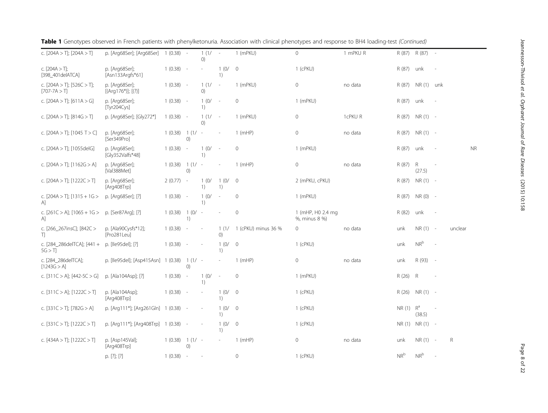| c. $[204A > T]$ ; $[204A > T]$                       | p. [Arg68Ser]; [Arg68Ser]              | $1(0.38) -$ |                          | $1(1/ -$<br>()                                          |                          | 1 (mPKU)            | $\mathbf{0}$                       | 1 mPKU R |               | R (87) R (87) - |        |             |           |
|------------------------------------------------------|----------------------------------------|-------------|--------------------------|---------------------------------------------------------|--------------------------|---------------------|------------------------------------|----------|---------------|-----------------|--------|-------------|-----------|
| c. $[204A > T]$ ;<br>[398_401delATCA]                | p. [Arg68Ser];<br>[Asn133Argfs*61]     | $1(0.38) -$ |                          |                                                         | 1(0/<br>1)               | $\overline{0}$      | 1 (cPKU)                           |          | R (87) unk    |                 |        |             |           |
| c. $[204A > T]$ ; $[526C > T]$ ;<br>$[707 - 7A > T]$ | p. [Arg68Ser];<br>$[(Arg176*)]; [(?)]$ | $1(0.38) -$ |                          | 1(1/<br>()                                              | $\sim$                   | 1 (mPKU)            | $\mathsf{O}\xspace$                | no data  | R (87)        | NR (1) unk      |        |             |           |
| c. $[204A > T]$ ; $[611A > G]$                       | p. [Arg68Ser];<br>Tyr204Cysl           | $1(0.38) -$ |                          | 1(0/<br>1)                                              | $\sim$                   | $\mathbf{0}$        | 1 (mPKU)                           |          | R (87)        | unk             | $\sim$ |             |           |
| c. $[204A > T]$ ; $[814G > T]$                       | p. [Arg68Ser]; [Gly272*]               | $1(0.38) -$ |                          | 1(1/<br>()                                              | $\overline{\phantom{a}}$ | 1 (mPKU)            | $\mathsf{O}\xspace$                | 1cPKU R  | R (87)        | $NR(1) -$       |        |             |           |
| c. $[204A > T]$ ; $[1045 T > C]$                     | p. [Arg68Ser];<br>[Ser349Pro]          | 1(0.38)     | $1(1/-$<br>O)            |                                                         |                          | $1$ (mHP)           | $\mathsf{O}\xspace$                | no data  | R (87)        | $NR(1) -$       |        |             |           |
| c. $[204A > T]$ ; $[1055delG]$                       | p. [Arg68Ser];<br>[Gly352Valfs*48]     | $1(0.38) -$ |                          | 1(0/<br>1)                                              | $\sim$                   | $\circ$             | 1 (mPKU)                           |          | R (87)        | unk             | ÷,     |             | <b>NR</b> |
| c. $[204A > T]$ ; $[1162G > A]$                      | p. [Arg68Ser];<br>[Val388Met]          | 1(0.38)     | $1(1/-$<br>O)            |                                                         | $\overline{a}$           | 1(mHP)              | $\mathsf{O}\xspace$                | no data  | R (87)        | R<br>(27.5)     |        |             |           |
| c. $[204A > T]$ ; $[1222C > T]$                      | p. [Arg68Ser];<br>[Arg408Trp]          | $2(0.77) -$ |                          | 1(0/<br>$\left( \begin{array}{c} 1 \end{array} \right)$ | 1(0/<br>1)               | $\overline{0}$      | 2 (mPKU, cPKU)                     |          | R (87)        | $NR(1) -$       |        |             |           |
| c. $[204A > T]$ ; $[1315 + 1G >$<br>$\mathsf{A}$     | p. [Arg68Ser]; [?]                     | $1(0.38) -$ |                          | 1(0/<br>1)                                              | $\overline{\phantom{a}}$ | $\mathbf{0}$        | 1 (mPKU)                           |          | R (87)        | $NR(0) -$       |        |             |           |
| c. [261C > A]; [1065 + 1G ><br>A1                    | p. [Ser87Arg]; [?]                     | 1(0.38)     | $1(0/-$<br>1)            |                                                         | $\overline{\phantom{a}}$ | $\mathbf{0}$        | 1 (mHP, H0 2.4 mg<br>%, minus 8 %) |          | R (82)        | unk             |        |             |           |
| c. [266_267insC]; [842C ><br>T)                      | p. [Ala90Cysfs*12];<br>[Pro281Leu]     | 1(0.38)     | $\overline{\phantom{a}}$ | $\sim$                                                  | 1(1/<br>(0)              | 1 (cPKU) minus 36 % | $\Omega$                           | no data  | unk           | $NR(1) -$       |        | unclear     |           |
| c. [284_286delTCA]; [441 +<br>5G > T                 | p. [Ile95del]; [?]                     | $1(0.38) -$ |                          |                                                         | 1(0/<br>1)               | $\circ$             | $1$ (cPKU)                         |          | unk           | $NR^b$          |        |             |           |
| c. [284_286delTCA];<br>[1243G > A]                   | p. [Ile95del]; [Asp415Asn]             | 1(0.38)     | $1(1/-$<br>()            |                                                         |                          | $1$ (mHP)           | $\mathsf{O}\xspace$                | no data  | unk           | R (93) -        |        |             |           |
| c. $[311C > A]$ ; $[442-5C > G]$                     | p. [Ala104Asp]; [?]                    | 1(0.38)     | $\sim$                   | 1(0/<br>1)                                              | $\sim$                   | $\circ$             | 1 (mPKU)                           |          | R (26)        | R               | ×,     |             |           |
| c. $[311C > A]$ ; $[1222C > T]$                      | p. [Ala104Asp];<br>[Arg408Trp]         | 1(0.38)     |                          |                                                         | 1(0/<br>1)               | $\overline{0}$      | 1 (cPKU)                           |          | R (26)        | $NR(1) -$       |        |             |           |
| c. $[331C > T]$ ; $[782G > A]$                       | p. [Arg111*]; [Arg261Gln] 1 (0.38)     |             |                          |                                                         | 1(0/<br>1)               | $\overline{0}$      | $1$ (cPKU)                         |          | $NR(1)$ $R^a$ | (38.5)          |        |             |           |
| c. [331C > T]; [1222C > T]                           | p. [Arg111*]; [Arg408Trp] 1 (0.38) -   |             |                          | $\overline{\phantom{a}}$                                | 1(0/<br>1)               | $\overline{0}$      | $1$ (cPKU)                         |          |               | NR (1) NR (1) - |        |             |           |
| c. $[434A > T]$ ; $[1222C > T]$                      | p. [Asp145Val];<br>[Arg408Trp]         | 1(0.38)     | $1(1/-$<br>()            |                                                         | $\overline{\phantom{a}}$ | $1$ (mHP)           | $\mathsf{O}\xspace$                | no data  | unk           | $NR(1) -$       |        | $\mathsf R$ |           |
|                                                      | p. [?]; [?]                            | $1(0.38) -$ |                          | $\sim$                                                  |                          | $\mathbf{0}$        | 1 (cPKU)                           |          | $NR^b$        | $NR^b$          |        |             |           |

|  | Table 1 Genotypes observed in French patients with phenylketonuria. Association with clinical phenotypes and response to BH4 loading-test (Continued) |  |  |  |  |  |  |  |  |
|--|-------------------------------------------------------------------------------------------------------------------------------------------------------|--|--|--|--|--|--|--|--|
|--|-------------------------------------------------------------------------------------------------------------------------------------------------------|--|--|--|--|--|--|--|--|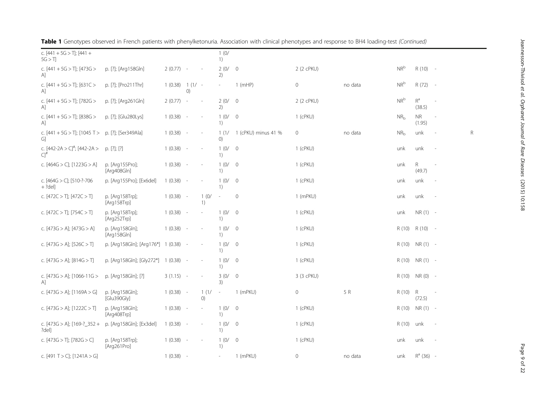| c. $[441 + 5G > T]$ ; $[441 +$<br>5G > T          |                                      |                  |                          |            | 1(0/<br>1)                |                     |            |         |                 |                     |                          |   |
|---------------------------------------------------|--------------------------------------|------------------|--------------------------|------------|---------------------------|---------------------|------------|---------|-----------------|---------------------|--------------------------|---|
| c. $[441 + 5G > T]$ ; $[473G >$<br>A]             | p. [?]; [Arg158Gln]                  | $2(0.77) -$      |                          |            | 2(0/<br>2)                | $\overline{0}$      | 2 (2 cPKU) |         | $NR^b$          | $R(10) -$           |                          |   |
| c. $[441 + 5G > T]$ ; $[631C >$<br>A]             | p. [?]; [Pro211Thr]                  | $1(0.38) 1(1/ -$ | ()                       |            |                           | $1$ (mHP)           | $\circ$    | no data | $NR^b$          | $R(72) -$           |                          |   |
| c. $[441 + 5G > T]$ ; $[782G >$<br>[A]            | p. [?]; [Arg261Gln]                  | 2(0.77)          | $\overline{\phantom{a}}$ |            | 2(0/0)<br>2)              |                     | 2 (2 cPKU) |         | $NR^b$          | $R^a$<br>(38.5)     |                          |   |
| c. $[441 + 5G > T]$ ; $[838G >$<br>A]             | p. [?]; [Glu280Lys]                  | 1(0.38)          | $\sim$                   |            | 1(0/<br>1)                | $\overline{0}$      | 1 (cPKU)   |         | NR <sub>b</sub> | <b>NR</b><br>(1.95) |                          |   |
| c. $[441 + 5G > T]$ ; $[1045 T >$<br>G]           | p. [?]; [Ser349Ala]                  | 1(0.38)          | $\overline{\phantom{a}}$ |            | 1(1/<br>$\left( 0\right)$ | 1 (cPKU) minus 41 % | 0          | no data | $NR_{b}$        | unk                 |                          | R |
| c. $[442-2A > C]^{\#}$ ; $[442-2A >$<br>$Cl^{\#}$ | p. [?]; [?]                          | 1(0.38)          | $\overline{\phantom{a}}$ | $\sim$     | 1(0/<br>1)                | $\overline{0}$      | 1 (cPKU)   |         | unk             | unk                 |                          |   |
| c. $[464G > C]$ ; $[1223G > A]$                   | p. [Arq155Pro];<br>[Arg408Gln]       | 1(0.38)          | $\sim$                   |            | 1(0/<br>1)                | $\overline{0}$      | 1 (cPKU)   |         | unk             | R.<br>(49.7)        |                          |   |
| c. [464G > C]; [510-?-706<br>$+ ?del]$            | p. [Arg155Pro]; [Ex6del]             | 1(0.38)          | ٠.                       |            | 1(0/<br>1)                | $\overline{0}$      | 1 (cPKU)   |         | unk             | unk                 |                          |   |
| c. $[472C > T]$ ; $[472C > T]$                    | p. [Arg158Trp];<br>[Arg158Trp]       | $1(0.38) -$      |                          | 1(0/<br>1) | $\overline{\phantom{a}}$  | $\mathbf 0$         | 1 (mPKU)   |         | unk             | unk                 |                          |   |
| c. $[472C > T]$ ; $[754C > T]$                    | p. [Arg158Trp];<br>[Arg252Trp]       | 1(0.38)          | $\sim$                   |            | 1(0/<br>1)                | $\overline{0}$      | 1 (cPKU)   |         | unk             | $NR(1) -$           |                          |   |
| c. [473G > A]; [473G > A]                         | p. [Arg158Gln];<br>[Arg158Gln]       | 1(0.38)          | $\sim$                   |            | 1(0/<br>1)                | $\overline{0}$      | 1 (cPKU)   |         | R (10)          | $R(10) -$           |                          |   |
| c. $[473G > A]$ ; $[526C > T]$                    | p. [Arg158Gln]; [Arg176*] 1 (0.38) - |                  |                          |            | 1(0/<br>1)                | $\overline{0}$      | 1 (cPKU)   |         | R (10)          | NR (1) -            |                          |   |
| c. $[473G > A]$ ; $[814G > T]$                    | p. [Arg158Gln]; [Gly272*] 1 (0.38) - |                  |                          |            | 1(0/<br>1)                | $\overline{0}$      | 1 (cPKU)   |         | R (10)          | $NR(1) -$           |                          |   |
| c. [473G > A]; [1066-11G ><br>$\mathsf{A}$        | p. [Arg158Gln]; [?]                  | $3(1.15) -$      |                          |            | 3(0/<br>3)                | $\overline{0}$      | 3 (3 cPKU) |         | R (10)          | $NR(0) -$           |                          |   |
| c. $[473G > A]$ ; $[1169A > G]$                   | p. [Arg158Gln];<br>[Glu390Gly]       | $1(0.38) -$      |                          | 1(1/<br>O) | $\overline{\phantom{a}}$  | 1 (mPKU)            | $\circ$    | 5 R     | R (10)          | R<br>(72.5)         |                          |   |
| c. $[473G > A]$ ; $[1222C > T]$                   | p. [Arg158Gln];<br>[Arg408Trp]       | 1(0.38)          | $\sim$                   |            | 1(0/<br>1)                | $\overline{0}$      | 1 (cPKU)   |         | R (10)          | $NR(1) -$           |                          |   |
| c. $[473G > A]$ ; $[169-?$ 352 +<br>?del]         | p. [Arg158Gln]; [Ex3del]             | 1(0.38)          | $\sim$                   |            | 1(0/<br>1)                | $\overline{0}$      | 1 (cPKU)   |         | R (10)          | unk                 | $\overline{\phantom{a}}$ |   |
| c. $[473G > T]$ ; $[782G > C]$                    | p. [Arg158Trp];<br>[Arg261Pro]       | 1(0.38)          | $\sim$                   |            | 1(0/<br>1)                | $\overline{0}$      | 1 (cPKU)   |         | unk             | unk                 |                          |   |
| c. [491 T > C]; [1241A > G]                       |                                      | 1(0.38)          | $\sim$                   |            |                           | 1 (mPKU)            | 0          | no data | unk             | $R^a$ (36) -        |                          |   |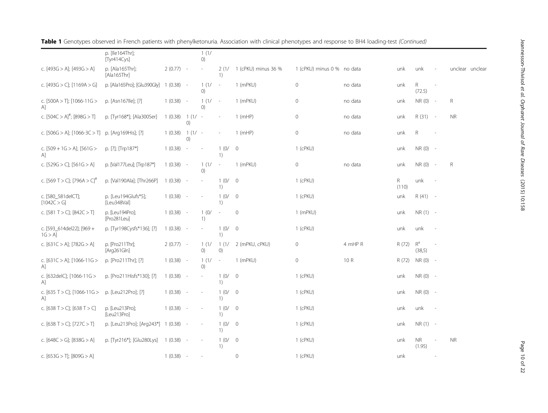|                                       | p. [lle164Thr];<br>[Tyr414Cys]     |             |                              | 1(1/<br>O)                                              |                          |                     |                            |         |             |                     |                          |                 |
|---------------------------------------|------------------------------------|-------------|------------------------------|---------------------------------------------------------|--------------------------|---------------------|----------------------------|---------|-------------|---------------------|--------------------------|-----------------|
| c. $[493G > A]$ ; $[493G > A]$        | p. [Ala165Thr];<br>[Ala165Thr]     | $2(0.77) -$ |                              |                                                         | 2(1/<br>1)               | 1 (cPKU) minus 36 % | 1 (cPKU) minus 0 % no data |         | unk         | unk                 |                          | unclear unclear |
| c. [493G > C]; [1169A > G]            | p. [Ala165Pro]; [Glu390Gly]        | $1(0.38) -$ |                              | 1(1/<br>()                                              | $\sim$                   | 1 (mPKU)            | $\circ$                    | no data | unk         | R<br>(72.5)         | $\sim$                   |                 |
| c. [500A > T]; [1066-11G ><br>Αl      | p. [Asn167lle]; [?]                | 1(0.38)     | $\sim$                       | 1(1/<br>()                                              | $\sim$                   | 1 (mPKU)            | $\mathsf{O}\xspace$        | no data | unk         | NR (0)              | $\sim$                   | R               |
| c. $[504C > A]^{\#}$ ; $[898G > T]$   | p. [Tyr168*]; [Ala300Ser]          | 1(0.38)     | 1(1/<br>()                   |                                                         |                          | $1$ (mHP)           | 0                          | no data | unk         | $R(31) -$           |                          | <b>NR</b>       |
| c. [506G > A]; [1066-3C > T]          | p. [Arg169His]; [?]                | 1(0.38)     | $1(1/-$<br>$\left( 0\right)$ |                                                         | $\overline{\phantom{a}}$ | $1$ (mHP)           | $\mathsf{O}\xspace$        | no data | unk         | R                   |                          |                 |
| c. $[509 + 1G > A]$ ; $[561G >$<br>A1 | p. [?]; [Trp187*]                  | 1(0.38)     | $\sim$                       |                                                         | 1(0/<br>1)               | $\overline{0}$      | 1 (cPKU)                   |         | unk         | $NR(0) -$           |                          |                 |
| c. $[529G > C]$ ; $[561G > A]$        | p. [Val177Leu]; [Trp187*]          | $1(0.38) -$ |                              | 1(1/<br>()                                              | $\sim$                   | 1 (mPKU)            | $\mathbb O$                | no data | unk         | NR(0)               | $\sim$                   | R               |
| c. [569 T > C]; [796A > C]"           | p. [Val190Ala]; [Thr266P]          | 1(0.38)     | $\sim$ $-$                   | $\overline{\phantom{a}}$                                | 1(0/<br>1)               | $\overline{0}$      | 1 (cPKU)                   |         | R.<br>(110) | unk                 |                          |                 |
| c. [580_581delCT];<br>[1042C > G]     | p. [Leu194Glufs*5];<br>[Leu348Val] | 1(0.38)     | $\overline{\phantom{a}}$     |                                                         | 1(0/<br>1)               | $\overline{0}$      | 1 (cPKU)                   |         | unk         | $R(41) -$           |                          |                 |
| c. [581 T > C]; [842C > T]            | p. [Leu194Pro];<br>[Pro281Leu]     | $1(0.38) -$ |                              | 1(0/<br>$\left( \begin{array}{c} 1 \end{array} \right)$ | $\overline{\phantom{a}}$ | $\mathbf{0}$        | 1 (mPKU)                   |         | unk         | $NR(1) -$           |                          |                 |
| c. [593_614del22]; [969 +<br>1G > A   | p. [Tyr198Cysfs*136]; [?]          | $1(0.38) -$ |                              |                                                         | 1(0/<br>1)               | $\overline{0}$      | 1 (cPKU)                   |         | unk         | unk                 |                          |                 |
| c. [631C > A]; [782G > A]             | p. [Pro211Thr];<br>[Arg261Gln]     | $2(0.77) -$ |                              | 1(1/<br>()                                              | 1(1/<br>()               | 2 (mPKU, cPKU)      | 0                          | 4 mHP R | R (72)      | $R^a$<br>(38,5)     |                          |                 |
| c. [631C > A]; [1066-11G ><br>A]      | p. [Pro211Thr]; [?]                | $1(0.38) -$ |                              | 1(1/<br>()                                              | $\sim$                   | 1 (mPKU)            | 0                          | 10 R    | R (72)      | $NR(0) -$           |                          |                 |
| c. [632 del C]; [1066-11 G ><br>A1    | p. [Pro211Hisfs*130]; [?]          | 1(0.38)     | $\sim$                       |                                                         | 1(0/<br>1)               | $\overline{0}$      | 1 (cPKU)                   |         | unk         | NR (0) -            |                          |                 |
| c. [635 T > C]; [1066-11G ><br>A1     | p. [Leu212Pro]; [?]                | 1(0.38)     | $\sim$                       |                                                         | 1(0/<br>1)               | $\overline{0}$      | 1 (cPKU)                   |         | unk         | $NR(0) -$           |                          |                 |
| c. [638 T > C]; [638 T > C]           | p. [Leu213Pro];<br>[Leu213Pro]     | $1(0.38) -$ |                              |                                                         | 1(0/<br>1)               | $\overline{0}$      | 1 (cPKU)                   |         | unk         | unk                 |                          |                 |
| c. [638 T > C]; [727C > T]            | p. [Leu213Pro]; [Arg243*]          | 1(0.38)     | $\sim$                       |                                                         | 1(0/<br>1)               | $\overline{0}$      | 1 (cPKU)                   |         | unk         | $NR(1) -$           |                          |                 |
| c. [648C > G]; [838G > A]             | p. [Tyr216*]; [Glu280Lys]          | 1(0.38)     | $\sim$                       |                                                         | 1(0/<br>1)               | $\overline{0}$      | 1 (cPKU)                   |         | unk         | <b>NR</b><br>(1.95) | $\overline{\phantom{a}}$ | <b>NR</b>       |
| c. $[653G > T]$ ; $[809G > A]$        |                                    | 1(0.38)     | $\sim$ $-$                   | $\overline{\phantom{a}}$                                |                          | $\circ$             | 1 (cPKU)                   |         | unk         |                     |                          |                 |

Page 10 of 22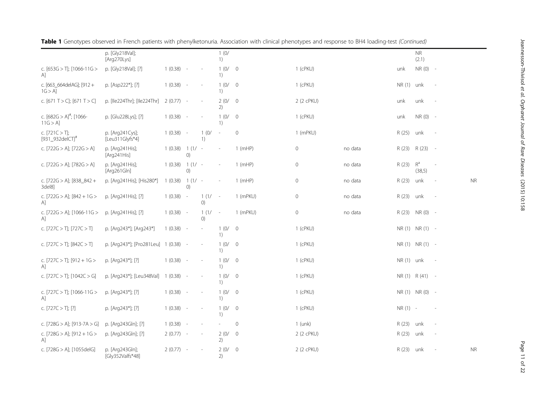|                                                 | p. [Gly218Val];<br>[Arg270Lys]       |             |               |            | 1(0/<br>1)     |                |            |         |             | <b>NR</b><br>(2.1) |                          |           |
|-------------------------------------------------|--------------------------------------|-------------|---------------|------------|----------------|----------------|------------|---------|-------------|--------------------|--------------------------|-----------|
| c. $[653G > T]$ ; $[1066-11G >$<br>A]           | p. [Gly218Val]; [?]                  | 1(0.38)     | $\sim$        |            | 1(0/<br>1)     | $\overline{0}$ | 1 (cPKU)   |         | unk         | NR (0)             | $\sim$                   |           |
| c. [663_664delAG]; [912 +<br>$1G > A$ ]         | p. [Asp222*]; [?]                    | $1(0.38) -$ |               |            | 1(0/ 0<br>1)   |                | 1 (cPKU)   |         | NR(1) unk   |                    | $\sim$                   |           |
| c. $[671 T > C]$ ; $[671 T > C]$                | p. [Ile224Thr]; [Ile224Thr]          | $2(0.77) -$ |               |            | 2(0/<br>2)     | $\overline{0}$ | 2 (2 cPKU) |         | unk         | unk                | $\sim$                   |           |
| c. $[682G > A]^{\#}$ ; [1066-<br>11G > A        | p. [Glu228Lys]; [?]                  | $1(0.38) -$ |               |            | 1(0/ 0)<br>1)  |                | 1 (cPKU)   |         | unk         | $NR(0) -$          |                          |           |
| c. $[721C > T]$ ;<br>[931_932delCT]#            | p. [Arg241Cys];<br>[Leu311Glyfs*4]   | 1(0.38)     | $\sim$        | 1(0/<br>1) | $\sim$         | $\mathbf 0$    | 1 (mPKU)   |         | R (25)      | unk                |                          |           |
| c. [722G > A]; [722G > A]                       | p. [Arg241His];<br>[Arg241His]       | 1(0.38)     | $1(1/-$<br>O) |            |                | $1$ (mHP)      | $\circ$    | no data | R (23)      | R (23)             | $\overline{\phantom{a}}$ |           |
| c. $[722G > A]$ ; $[782G > A]$                  | p. [Arg241His];<br>[Arg261Gln]       | 1(0.38)     | $1(1/-$<br>O) |            | $\overline{a}$ | $1$ (mHP)      | $\circ$    | no data | R (23)      | $R^a$<br>(38,5)    |                          |           |
| c. [722G > A]; [838_842 +<br>3del8]             | p. [Arg241His]; [His280*]            | 1(0.38)     | $1(1/-$<br>() |            |                | $1$ (mHP)      | $\circ$    | no data | R (23)      | unk                |                          | <b>NR</b> |
| c. [722G > A]; [842 + 1G ><br>A1                | p. [Arg241His]; [?]                  | 1(0.38)     | $\sim$        | 1(1/<br>() | $\sim$ $-$     | 1 (mPKU)       | $\circ$    | no data | R (23)      | unk                | $\overline{\phantom{a}}$ |           |
| c. [722G > A]; [1066-11G ><br>A]                | p. [Arg241His]; [?]                  | $1(0.38) -$ |               | 1(1/<br>() | $\sim$         | 1 (mPKU)       | $\circ$    | no data | R (23)      | $NR(0) -$          |                          |           |
| c. $[727C > T]$ ; $[727C > T]$                  | p. [Arg243*]; [Arg243*]              | 1(0.38)     | $\sim$        |            | 1(0/0)<br>1)   |                | 1 (cPKU)   |         |             | NR(1) NR(1) -      |                          |           |
| c. [727C > T]; [842C > T]                       | p. [Arg243*]; [Pro281Leu] 1 (0.38) - |             |               |            | 1(0/0)<br>1)   |                | 1 (cPKU)   |         |             | NR (1) NR (1) -    |                          |           |
| c. $[727C > T]$ ; $[912 + 1G >$<br>$\mathsf{A}$ | p. [Arg243*]; [?]                    | $1(0.38) -$ |               |            | 1(0/0)<br>1)   |                | 1 (cPKU)   |         | $NR(1)$ unk |                    | $\overline{\phantom{a}}$ |           |
| c. [727C > T]; [1042C > G]                      | p. [Arg243*]; [Leu348Val]            | $1(0.38) -$ |               |            | 1(0/<br>1)     | $\overline{0}$ | 1 (cPKU)   |         |             | NR (1) R (41) -    |                          |           |
| c. [727C > T]; [1066-11G ><br>A]                | p. [Arg243*]; [?]                    | 1(0.38)     | $\sim$        |            | 1(0/<br>1)     | $\overline{0}$ | 1 (cPKU)   |         |             | NR (1) NR (0) -    |                          |           |
| c. $[727C > T]$ ; [?]                           | p. [Arg243*]; [?]                    | 1(0.38)     | $\sim$        |            | 1(0/<br>1)     | $\overline{0}$ | 1 (cPKU)   |         | $NR(1) -$   |                    |                          |           |
| c. [728G > A]; [913-7A > G]                     | p. [Arg243Gln]; [?]                  | $1(0.38) -$ |               |            |                | $\mathbf{0}$   | $1$ (unk)  |         | R (23)      | unk                |                          |           |
| c. [728G > A]; [912 + 1G ><br>A]                | p. [Arg243Gln]; [?]                  | $2(0.77) -$ |               |            | 2(0/<br>2)     | $\overline{0}$ | 2 (2 cPKU) |         | R (23)      | unk                |                          |           |
| c. [728G > A]; [1055delG]                       | p. [Arg243Gln];<br>[Gly352Valfs*48]  | $2(0.77) -$ |               |            | 2(0/<br>2)     | $\overline{0}$ | 2 (2 cPKU) |         | R (23)      | unk                |                          | <b>NR</b> |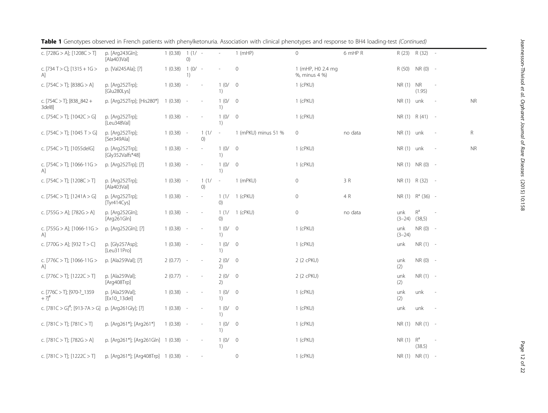| c. $[728G > A]$ ; $[1208C > T]$                             | p. [Arg243Gln];<br>[Ala403Val]       | 1(0.38)     | $1(1/-$<br>O)            |            |                                                         | 1(mHP)              | $\circ$                            | 6 mHP R |                          | R (23) R (32) -     |                          |             |
|-------------------------------------------------------------|--------------------------------------|-------------|--------------------------|------------|---------------------------------------------------------|---------------------|------------------------------------|---------|--------------------------|---------------------|--------------------------|-------------|
| c. [734 T > C]; [1315 + 1G ><br>A]                          | p. [Val245Ala]; [?]                  | 1(0.38)     | $1(0/-$<br>1)            |            |                                                         | $\mathbf 0$         | 1 (mHP, H0 2.4 mg<br>%, minus 4 %) |         |                          | R (50) NR (0) -     |                          |             |
| c. [754C $>$ T]; [838G $>$ A]                               | p. [Arg252Trp];<br>[Glu280Lys]       | 1(0.38)     | $\sim$                   |            | 1(0/<br>$\left( \begin{array}{c} 1 \end{array} \right)$ | $\overline{0}$      | $1$ (cPKU)                         |         | NR (1) NR                | (1.95)              | $\sim$                   |             |
| c. $[754C > T]$ ; $[838_842 +$<br>3del81                    | p. [Arg252Trp]; [His280*]            | $1(0.38) -$ |                          |            | 1(0/<br>1)                                              | $\overline{0}$      | 1 (cPKU)                           |         | $NR(1)$ unk              |                     |                          | <b>NR</b>   |
| c. $[754C > T]$ ; $[1042C > G]$                             | p. [Arg252Trp];<br>[Leu348Val]       | $1(0.38) -$ |                          |            | 1(0/<br>1)                                              | $\overline{0}$      | $1$ (cPKU)                         |         |                          | NR (1) R (41)       | $\sim$                   |             |
| c. $[754C > T]$ ; $[1045 T > G]$                            | p. [Arg252Trp];<br>[Ser349Ala]       | 1(0.38)     | $\sim$                   | 1(1/<br>O) | $\overline{\phantom{a}}$                                | 1 (mPKU) minus 51 % | $\circ$                            | no data | $NR(1)$ unk              |                     | $\sim$                   | $\mathsf R$ |
| c. [754C > T]; [1055delG]                                   | p. [Arg252Trp];<br>[Gly352Valfs*48]  | 1(0.38)     |                          |            | 1(0/<br>1)                                              | $\overline{0}$      | 1 (cPKU)                           |         | NR (1) unk               |                     |                          | <b>NR</b>   |
| c. $[754C > T]$ ; $[1066-11G >$<br>A]                       | p. [Arg252Trp]; [?]                  | 1(0.38)     |                          |            | 1(0/<br>1)                                              | $\overline{0}$      | $1$ (cPKU)                         |         |                          | NR (1) NR (0) -     |                          |             |
| c. $[754C > T]$ ; $[1208C > T]$                             | p. [Arg252Trp];<br>[Ala403Val]       | $1(0.38) -$ |                          | 1(1/<br>() | $\overline{\phantom{a}}$                                | 1 (mPKU)            | 0                                  | 3 R     |                          | NR (1) R (32) -     |                          |             |
| c. $[754C > T]$ ; $[1241A > G]$                             | p. [Arg252Trp];<br>[Tyr414Cys]       | $1(0.38) -$ |                          |            | 1(1/<br>()                                              | 1 (cPKU)            | $\circ$                            | 4 R     |                          | $NR(1)$ $R^a(36)$ - |                          |             |
| c. [755G > A]; [782G > A]                                   | p. [Arg252Gln];<br>[ $Arg261GIn$ ]   | 1(0.38)     | $\overline{\phantom{a}}$ |            | 1(1/<br>$\left( 0\right)$                               | 1 (cPKU)            | $\mathsf{O}\xspace$                | no data | unk<br>$(3-24)$ $(38,5)$ | $R^a$               | $\sim$                   |             |
| c. [755G > A]; [1066-11G ><br>AI                            | p. [Arg252Gln]; [?]                  | 1(0.38)     | $\overline{\phantom{a}}$ |            | 1(0/<br>1)                                              | $\overline{0}$      | 1 (cPKU)                           |         | unk<br>$(3-24)$          | $NR(0) -$           |                          |             |
| c. [770G > A]; [932 T > C]                                  | p. [Gly257Asp];<br>[Leu311Pro]       | $1(0.38) -$ |                          |            | 1(0/<br>1)                                              | $\overline{0}$      | $1$ (cPKU)                         |         | unk                      | $NR(1) -$           |                          |             |
| c. $[776C > T]$ ; $[1066-11G >$<br>A]                       | p. [Ala259Val]; [?]                  | $2(0.77) -$ |                          |            | 2(0/<br>2)                                              | $\overline{0}$      | 2 (2 cPKU)                         |         | unk<br>(2)               | $NR(0) -$           |                          |             |
| c. $[776C > T]$ ; $[1222C > T]$                             | p. [Ala259Val];<br>[Arg408Trp]       | $2(0.77) -$ |                          |            | 2(0/<br>2)                                              | $\overline{0}$      | 2 (2 cPKU)                         |         | unk<br>(2)               | $NR(1) -$           |                          |             |
| c. [776C > T]; [970-?_1359<br>$+$ ?] <sup>#</sup>           | p. [Ala259Val];<br>[Ex10_13del]      | $1(0.38) -$ |                          |            | 1(0/<br>1)                                              | $\overline{0}$      | $1$ (cPKU)                         |         | unk<br>(2)               | unk                 | $\sim$                   |             |
| c. $[781C > G]^{\#}$ ; $[913-7A > G]$ p. $[Arg261G[y]; [?]$ |                                      | $1(0.38) -$ |                          |            | 1(0/<br>1)                                              | $\overline{0}$      | 1 (cPKU)                           |         | unk                      | unk                 | $\overline{\phantom{a}}$ |             |
| c. [781C > T]; [781C > T]                                   | p. [Arg261*]; [Arg261*]              | $1(0.38) -$ |                          |            | 1(0/<br>$\left( \begin{array}{c} 1 \end{array} \right)$ | $\overline{0}$      | $1$ (cPKU)                         |         |                          | NR(1) NR(1) -       |                          |             |
| c. $[781C > T]$ ; $[782G > A]$                              | p. [Arg261*]; [Arg261Gln] 1 (0.38) - |             |                          |            | 1(0/<br>1)                                              | $\overline{0}$      | 1 (cPKU)                           |         | NR $(1)$ R <sup>a</sup>  | (38.5)              | $\overline{\phantom{a}}$ |             |
| c. $[781C > T]$ ; $[1222C > T]$                             | p. [Arg261*]; [Arg408Trp] 1 (0.38) - |             |                          |            |                                                         | 0                   | 1 (cPKU)                           |         |                          | NR(1) NR(1) -       |                          |             |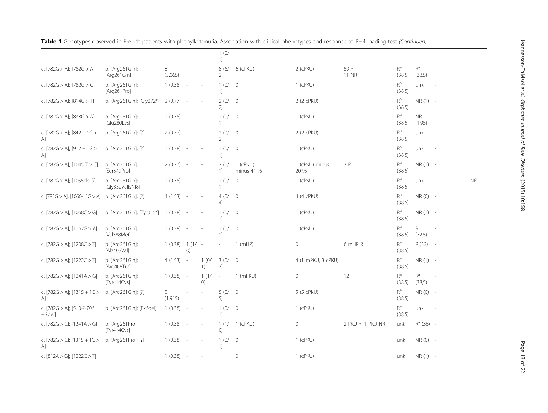| Jeannesson-Thivisol et al. Orphanet Journal of Rare Diseases (2015) 10:158 |  |
|----------------------------------------------------------------------------|--|
|                                                                            |  |
|                                                                            |  |
|                                                                            |  |
|                                                                            |  |
|                                                                            |  |
|                                                                            |  |
|                                                                            |  |
|                                                                            |  |
|                                                                            |  |

unk - NR

| c. [782G > A]; [782G > A]                         | p. [Arg261Gln];<br>[Arg261Gln]      | 8<br>(3.065) |                | ÷,                                   | 8(6/<br>2)                                              | 6 (cPKU)               | 2 (cPKU)               | 59 R;<br>11 NR    | $R^a$<br>(38,5)                   | $R^a$<br>(38,5)     |                          |
|---------------------------------------------------|-------------------------------------|--------------|----------------|--------------------------------------|---------------------------------------------------------|------------------------|------------------------|-------------------|-----------------------------------|---------------------|--------------------------|
| c. [782G > A]; [782G > C]                         | p. [Arg261Gln];<br>[Arg261Pro]      | $1(0.38) -$  |                | ÷,                                   | 1(0/<br>1)                                              | $\overline{0}$         | 1 (cPKU)               |                   | $R^a$<br>(38,5)                   | unk                 |                          |
| c. [782G > A]; [814G > T]                         | p. [Arg261Gln]; [Gly272*]           | $2(0.77) -$  |                | $\overline{a}$                       | 2(0/<br>2)                                              | $\overline{0}$         | 2 (2 cPKU)             |                   | $\mathsf{R}^\mathsf{a}$<br>(38,5) | $NR(1) -$           |                          |
| c. $[782G > A]$ ; $[838G > A]$                    | p. [Arg261Gln];<br>[Glu280Lys]      | $1(0.38) -$  |                | $\overline{\phantom{a}}$             | 1(0/<br>1)                                              | $\overline{0}$         | $1$ (cPKU)             |                   | $R^a$<br>(38,5)                   | <b>NR</b><br>(1.95) | $\overline{\phantom{a}}$ |
| c. [782G > A]; [842 + 1G ><br>A]                  | p. [Arg261Gln]; [?]                 | $2(0.77) -$  |                | $\overline{\phantom{a}}$             | 2(0/<br>2)                                              | $\overline{0}$         | 2 (2 cPKU)             |                   | $R^a$<br>(38,5)                   | unk                 |                          |
| c. [782G > A]; [912 + 1G ><br>A]                  | p. [Arg261Gln]; [?]                 | $1(0.38) -$  |                | $\overline{\phantom{a}}$             | 1(0/<br>1)                                              | $\overline{0}$         | 1 (cPKU)               |                   | $\mathsf{R}^\mathsf{a}$<br>(38,5) | unk                 | ٠                        |
| c. [782G > A]; [1045 T > C]                       | p. [Arg261Gln];<br>[Ser349Pro]      | $2(0.77) -$  |                | $\overline{\phantom{a}}$             | 2(1/<br>1)                                              | 1 (cPKU)<br>minus 41 % | 1 (cPKU) minus<br>20 % | 3 R               | $R^a$<br>(38,5)                   | $NR(1) -$           |                          |
| c. [782G > A]; [1055delG]                         | p. [Arg261Gln];<br>[Gly352Valfs*48] | $1(0.38) -$  |                | $\overline{\phantom{a}}$             | 1(0/<br>1)                                              | $\overline{0}$         | 1 (cPKU)               |                   | $R^a$<br>(38,5)                   | unk                 |                          |
| c. [782G > A]; [1066-11G > A] p. [Arg261Gln]; [?] |                                     | $4(1.53) -$  |                | $\sim$                               | 4(0/<br>4)                                              | $\overline{0}$         | 4 (4 cPKU)             |                   | $R^a$<br>(38,5)                   | $NR(0) -$           |                          |
| c. $[782G > A]$ ; $[1068C > G]$                   | p. [Arg261Gln]; [Tyr356*]           | $1(0.38) -$  |                | i,                                   | 1(0/<br>1)                                              | $\overline{0}$         | 1 (cPKU)               |                   | $R^a$<br>(38,5)                   | $NR(1) -$           |                          |
| c. $[782G > A]$ ; $[1162G > A]$                   | p. [Arg261Gln];<br>[Val388Met]      | $1(0.38) -$  |                | i,                                   | 1(0/<br>1)                                              | $\overline{0}$         | 1 (cPKU)               |                   | $R^a$<br>(38,5)                   | R.<br>(72.5)        | $\sim$                   |
| c. $[782G > A]$ ; $[1208C > T]$                   | p. [Arg261Gln];<br>[Ala403Val]      | 1(0.38)      | $1(1/-$<br>(0) |                                      |                                                         | $1$ (mHP)              | $\circ$                | 6 mHP R           | $R^a$<br>(38,5)                   | R (32)              | $\overline{\phantom{a}}$ |
| c. [782G > A]; [1222C > T]                        | p. [Arg261Gln];<br>[Arg408Trp]      | $4(1.53) -$  |                | 1(0/<br>$\left( \frac{1}{2} \right)$ | 3(0/<br>3)                                              | $\overline{0}$         | 4 (1 mPKU, 3 cPKU)     |                   | $R^a$<br>(38,5)                   | $NR(1) -$           |                          |
| c. $[782G > A]$ ; $[1241A > G]$                   | p. [Arg261Gln];<br>[Tyr414Cys]      | $1(0.38) -$  |                | 1(1/<br>()                           | $\sim$                                                  | $1$ (mPKU)             | $\circ$                | 12 R              | $R^a$<br>(38,5)                   | $R^a$<br>(38,5)     | $\sim$                   |
| c. $[782G > A]$ ; $[1315 + 1G >$<br>A]            | p. [Arg261Gln]; [?]                 | 5<br>(1.915) |                |                                      | 5(0/<br>5)                                              | $\overline{0}$         | 5 (5 cPKU)             |                   | $R^a$<br>(38,5)                   | $NR(0) -$           |                          |
| c. [782G > A]; [510-?-706<br>$+ ?$ del            | p. [Arg261Gln]; [Ex6del]            | $1(0.38) -$  |                | $\overline{\phantom{a}}$             | 1(0/<br>1)                                              | $\overline{0}$         | 1 (cPKU)               |                   | $R^a$<br>(38,5)                   | unk                 | $\sim$                   |
| c. $[782G > C]$ ; $[1241A > G]$                   | p. [Arg261Pro];<br>[Tyr414Cys]      | $1(0.38) -$  |                | ÷,                                   | 1(1/<br>$\left( 0\right)$                               | 1 (cPKU)               | $\mathsf{O}\xspace$    | 2 PKU R; 1 PKU NR | unk                               | $R^a$ (36) -        |                          |
| c. $[782G > C]$ ; $[1315 + 1G >$<br>A]            | p. [Arg261Pro]; [?]                 | $1(0.38) -$  |                | $\overline{a}$                       | 1(0/<br>$\left( \begin{array}{c} 1 \end{array} \right)$ | $\overline{0}$         | 1 (cPKU)               |                   | unk                               | $NR(0) -$           |                          |
| c. $[812A > G]$ ; $[1222C > T]$                   |                                     | 1(0.38)      | $\sim$         | i,                                   |                                                         | $\mathbf 0$            | 1 (cPKU)               |                   | unk                               | $NR(1) -$           |                          |

Table 1 Genotypes observed in French patients with phenylketonuria. Association with clinical phenotypes and response to BH4 loading-test (Continued)

1 (0/ 1)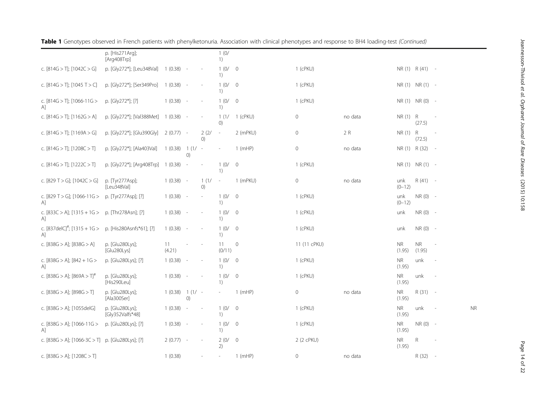|                                                              | p. [His271Arq];<br>[Arg408Trp]      |              |                              |                          | 1(0/<br>1)                                              |                |              |         |                     |                     |                          |           |
|--------------------------------------------------------------|-------------------------------------|--------------|------------------------------|--------------------------|---------------------------------------------------------|----------------|--------------|---------|---------------------|---------------------|--------------------------|-----------|
| c. $[814G > T]$ ; $[1042C > G]$                              | p. [Gly272*]; [Leu348Val]           | $1(0.38) -$  |                              |                          | 1(0/<br>1)                                              | $\overline{0}$ | 1 (cPKU)     |         |                     | $NR(1)$ $R(41)$ -   |                          |           |
| c. $[814G > T]$ ; $[1045 T > C]$                             | p. [Gly272*]; [Ser349Pro]           | 1 (0.38)     |                              |                          | 1(0/<br>1)                                              | $\overline{0}$ | $1$ (cPKU)   |         |                     | $NR(1)$ $NR(1)$ -   |                          |           |
| c. $[814G > T]$ ; $[1066-11G >$<br>Αl                        | p. [Gly272*]; [?]                   | 1(0.38)      |                              | $\overline{\phantom{a}}$ | 1(0/<br>1)                                              | $\overline{0}$ | $1$ (cPKU)   |         |                     | NR (1) NR (0) -     |                          |           |
| c. $[814G > T]$ ; $[1162G > A]$                              | p. [Gly272*]; [Val388Met]           | 1(0.38)      |                              | $\overline{a}$           | 1(1/<br>$\left( 0\right)$                               | 1 (cPKU)       | 0            | no data | $NR(1)$ R           | (27.5)              | $\sim$                   |           |
| c. $[814G > T]$ ; $[1169A > G]$                              | p. [Gly272*]; [Glu390Gly]           | $2(0.77) -$  |                              | 2(2/<br>()               | $\overline{\phantom{a}}$                                | 2 (mPKU)       | 0            | 2 R     | NR (1) R            | (72.5)              | $\overline{\phantom{a}}$ |           |
| c. $[814G > T]$ ; $[1208C > T]$                              | p. [Gly272*]; [Ala403Val]           | 1(0.38)      | $1(1/-$<br>()                |                          |                                                         | $1$ (mHP)      | 0            | no data |                     | NR (1) R (32)       | $\sim$ $-$               |           |
| c. $[814G > T]$ ; $[1222C > T]$                              | p. [Gly272*]; [Arg408Trp]           | 1(0.38)      |                              |                          | 1(0/<br>1)                                              | $\overline{0}$ | $1$ (cPKU)   |         |                     | NR (1) NR (1) -     |                          |           |
| c. [829 T > G]; [1042C > G]                                  | p. [Tyr277Asp];<br>[Leu348Val]      | 1(0.38)      | $\overline{\phantom{a}}$     | 1(1/<br>()               | $\overline{\phantom{a}}$                                | 1 (mPKU)       | 0            | no data | unk<br>$(0-12)$     | $R(41) -$           |                          |           |
| c. [829 T > G]; [1066-11G > p. [Tyr277Asp]; [?]<br>Αl        |                                     | 1(0.38)      | $\overline{\phantom{a}}$     | $\overline{\phantom{a}}$ | 1(0/<br>$\left( \frac{1}{2} \right)$                    | $\overline{0}$ | 1 (cPKU)     |         | unk<br>$(0-12)$     | $NR(0) -$           |                          |           |
| c. [833C > A]; $[1315 + 1G > p$ . [Thr278Asn]; [?]<br>A      |                                     | 1(0.38)      |                              |                          | 1(0/<br>$\left( \frac{1}{2} \right)$                    | $\overline{0}$ | $1$ (cPKU)   |         | unk                 | $NR(0) -$           |                          |           |
| c. $[837delC]$ <sup>#</sup> ; $[1315 + 1G >$<br>$\mathsf{A}$ | p. [His280Asnfs*61]; [?]            | 1(0.38)      | $\sim$                       | $\overline{\phantom{a}}$ | 1(0/<br>1)                                              | $\overline{0}$ | $1$ (cPKU)   |         | unk                 | $NR(0) -$           |                          |           |
| c. $[838G > A]$ ; $[838G > A]$                               | p. [Glu280Lys];<br>[Glu280Lys]      | 11<br>(4.21) |                              |                          | 11<br>(0/11)                                            | $\mathbf{0}$   | 11 (11 cPKU) |         | <b>NR</b><br>(1.95) | <b>NR</b><br>(1.95) | $\overline{\phantom{a}}$ |           |
| c. $[838G > A]$ ; $[842 + 1G >$<br>$\mathsf{A}$              | p. [Glu280Lys]; [?]                 | 1(0.38)      | $\overline{\phantom{a}}$     |                          | 1(0/<br>$\left( \begin{array}{c} 1 \end{array} \right)$ | $\overline{0}$ | $1$ (cPKU)   |         | <b>NR</b><br>(1.95) | unk                 |                          |           |
| c. [838G > A]; [869A > T] <sup>#</sup>                       | p. [Glu280Lys];<br>[His290Leu]      | 1(0.38)      | $\sim$                       |                          | 1(0/<br>1)                                              | $\overline{0}$ | $1$ (cPKU)   |         | <b>NR</b><br>(1.95) | unk                 |                          |           |
| c. [838G > A]; [898G > T]                                    | p. [Glu280Lys];<br>[Ala300Ser]      | 1(0.38)      | $1(1/-$<br>$\left( 0\right)$ |                          | $\overline{\phantom{a}}$                                | $1$ (mHP)      | 0            | no data | <b>NR</b><br>(1.95) | R (31)              | $\sim$ $-$               |           |
| c. $[838G > A]$ ; $[1055delG]$                               | p. [Glu280Lys];<br>[Gly352Valfs*48] | 1(0.38)      |                              |                          | 1(0/<br>1)                                              | $\overline{0}$ | $1$ (cPKU)   |         | <b>NR</b><br>(1.95) | unk                 |                          | <b>NR</b> |
| c. $[838G > A]$ ; $[1066-11G >$<br>A]                        | p. [Glu280Lys]; [?]                 | 1(0.38)      | $\sim$                       | $\overline{\phantom{a}}$ | 1(0/<br>1)                                              | $\overline{0}$ | 1 (cPKU)     |         | <b>NR</b><br>(1.95) | $NR(0) -$           |                          |           |
| c. [838G > A]; [1066-3C > T] p. [Glu280Lys]; [?]             |                                     | 2(0.77)      | $\overline{\phantom{a}}$     | $\overline{\phantom{a}}$ | 2(0/<br>2)                                              | $\overline{0}$ | 2 (2 cPKU)   |         | <b>NR</b><br>(1.95) | R                   | $\overline{\phantom{a}}$ |           |
| c. [838G > A]; [1208C > T]                                   |                                     | 1(0.38)      |                              |                          |                                                         | $1$ (mHP)      | 0            | no data |                     | R (32)              | $\sim$                   |           |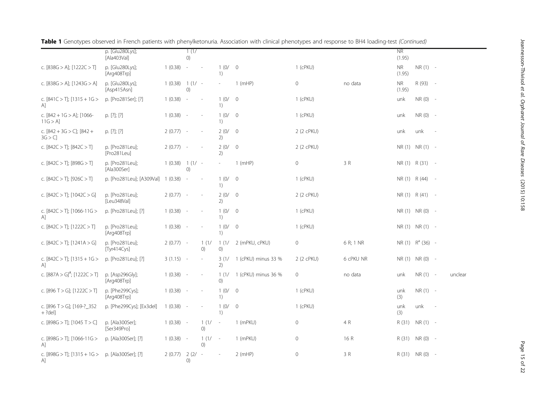|                                                  | p. [Glu280Lys];                |                  | 1(1/                         |                          |                           |                     |              |           | <b>NR</b>           |                     |        |         |
|--------------------------------------------------|--------------------------------|------------------|------------------------------|--------------------------|---------------------------|---------------------|--------------|-----------|---------------------|---------------------|--------|---------|
|                                                  | [Ala403Val]                    |                  | $\left( 0\right)$            |                          |                           |                     |              |           | (1.95)              |                     |        |         |
| c. [838G > A]; [1222C > T]                       | p. [Glu280Lys];<br>[Arg408Trp] | 1(0.38)          | $\overline{\phantom{a}}$     | $\overline{\phantom{a}}$ | 1(0/<br>1)                | $\overline{0}$      | 1 (cPKU)     |           | <b>NR</b><br>(1.95) | $NR(1) -$           |        |         |
| c. [838G > A]; [1243G > A]                       | p. [Glu280Lys];<br>[Asp415Asn] | $1(0.38) 1(1/ -$ | $\left( 0\right)$            |                          |                           | $1$ (mHP)           | $\circ$      | no data   | <b>NR</b><br>(1.95) | R (93) -            |        |         |
| c. $[841C > T]$ ; $[1315 + 1G >$<br>$\mathsf{A}$ | p. [Pro281Ser]; [?]            | 1(0.38)          | $\overline{\phantom{a}}$     |                          | 1(0/<br>1)                | $\overline{0}$      | 1 (cPKU)     |           | unk                 | NR (0) -            |        |         |
| c. $[842 + 1G > A]$ ; [1066-<br>11G > A          | p. $[?]; [?]$                  | 1(0.38)          | $\overline{\phantom{a}}$     | $\overline{\phantom{a}}$ | 1(0/<br>1)                | $\overline{0}$      | 1 (cPKU)     |           | unk                 | $NR(0) -$           |        |         |
| c. $[842 + 3G > C]$ ; $[842 +$<br>3G > C         | p. [?]; [?]                    | $2(0.77) -$      |                              | $\overline{\phantom{a}}$ | 2(0/<br>2)                | $\overline{0}$      | 2 (2 cPKU)   |           | unk                 | unk                 | $\sim$ |         |
| c. $[842C > T]$ ; $[842C > T]$                   | p. [Pro281Leu];<br>[Pro281Leu] | 2(0.77)          | $\overline{\phantom{a}}$     |                          | 2(0/<br>2)                | $\overline{0}$      | 2 (2 cPKU)   |           |                     | NR (1) NR (1) -     |        |         |
| c. $[842C > T]$ ; $[898G > T]$                   | p. [Pro281Leu];<br>[Ala300Ser] | 1(0.38)          | $1(1/-$<br>O)                |                          | $\sim$                    | $1$ (mHP)           | $\circ$      | 3 R       |                     | $NR(1)$ $R(31)$ -   |        |         |
| c. $[842C > T]$ ; $[926C > T]$                   | p. [Pro281Leu]; [A309Val]      | 1(0.38)          | $\overline{\phantom{a}}$     |                          | 1(0/<br>1)                | $\overline{0}$      | 1 (cPKU)     |           |                     | NR (1) R (44) -     |        |         |
| c. $[842C > T]$ ; $[1042C > G]$                  | p. [Pro281Leu];<br>[Leu348Val] | $2(0.77) -$      |                              | $\overline{a}$           | 2(0/<br>2)                | $\overline{0}$      | 2 (2 cPKU)   |           |                     | $NR(1)$ $R(41)$ -   |        |         |
| c. $[842C > T]$ ; $[1066-11G >$<br>$\mathsf{A}$  | p. [Pro281Leu]; [?]            | $1(0.38) -$      |                              |                          | 1(0/<br>1)                | $\overline{0}$      | 1 (cPKU)     |           |                     | NR (1) NR (0) -     |        |         |
| c. $[842C > T]$ ; $[1222C > T]$                  | p. [Pro281Leu];<br>[Arg408Trp] | 1(0.38)          | $\overline{\phantom{a}}$     | $\overline{\phantom{a}}$ | 1(0/<br>1)                | $\overline{0}$      | 1 (cPKU)     |           |                     | NR (1) NR (1) -     |        |         |
| c. $[842C > T]$ ; $[1241A > G]$                  | p. [Pro281Leu];<br>[Tyr414Cys] | $2(0.77) -$      |                              | 1(1/<br>()               | 1(1/<br>$\left( 0\right)$ | 2 (mPKU, cPKU)      | $\circ$      | 6 R; 1 NR |                     | $NR(1)$ $R^a(36)$ - |        |         |
| c. $[842C > T]$ ; $[1315 + 1G >$<br>$\mathsf{A}$ | p. [Pro281Leu]; [?]            | $3(1.15) -$      |                              | $\overline{\phantom{a}}$ | 3(1/<br>2)                | 1 (cPKU) minus 33 % | 2 (2 cPKU)   | 6 cPKU NR |                     | NR (1) NR (0) -     |        |         |
| c. $[887A > G]^{\#}$ ; $[1222C > T]$             | p. [Asp296Gly];<br>[Arg408Trp] | 1(0.38)          | $\overline{\phantom{a}}$     |                          | 1(1/<br>(0)               | 1 (cPKU) minus 36 % | $\circ$      | no data   | unk                 | $NR(1) -$           |        | unclear |
| c. [896 T > G]; [1222C > T]                      | p. [Phe299Cys];<br>[Arg408Trp] | 1(0.38)          | $\overline{\phantom{a}}$     |                          | 1(0/<br>1)                | $\overline{0}$      | 1 (cPKU)     |           | unk<br>(3)          | $NR(1) -$           |        |         |
| c. [896 T > G]; [169-?_352<br>$+ ?del]$          | p. [Phe299Cys]; [Ex3del]       | 1(0.38)          | ٠.                           |                          | 1(0/<br>1)                | $\overline{0}$      | 1 (cPKU)     |           | unk<br>(3)          | unk                 | $\sim$ |         |
| c. [898G > T]; [1045 T > C]                      | p. [Ala300Ser];<br>[Ser349Pro] | $1(0.38) -$      |                              | 1(1/<br>()               | $\sim$                    | 1 (mPKU)            | $\mathbf{0}$ | 4 R       |                     | $R(31)$ NR $(1)$ -  |        |         |
| c. [898G > T]; [1066-11G ><br>$\mathsf{A}$       | p. [Ala300Ser]; [?]            | 1(0.38)          | $\overline{\phantom{a}}$     | 1(1/<br>()               | $\sim$                    | 1 (mPKU)            | $\mathbf{0}$ | 16 R      | R (31)              | NR (0) -            |        |         |
| c. $[898G > T]$ ; $[1315 + 1G >$<br>A]           | p. [Ala300Ser]; [?]            | 2(0.77)          | $2(2/-$<br>$\left( 0\right)$ |                          |                           | $2$ (mHP)           | $\circ$      | 3 R       |                     | R (31) NR (0) -     |        |         |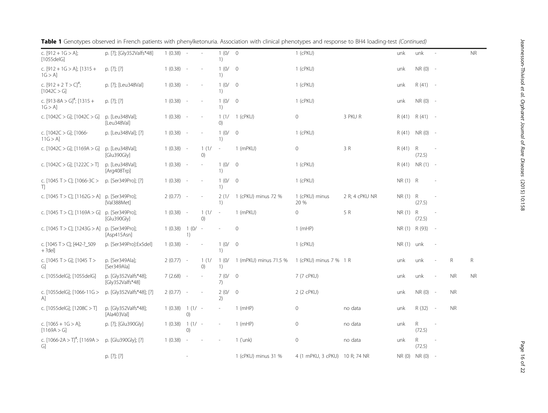| יכיון באריין (כולו לא המינה המוזמנות המוזמנות) והאומרי האינטיב האינטיב המפונות היה האינטיב המינה המינה המוזמנו<br> <br> <br> <br> <br> |
|----------------------------------------------------------------------------------------------------------------------------------------|
|                                                                                                                                        |
|                                                                                                                                        |
| ׇ֞֓׆֧֧֧<br>׆֧<br>MOND IDMINI NEAR                                                                                                      |
|                                                                                                                                        |
|                                                                                                                                        |
| .<br>ביונים                                                                                                                            |
| ز<br>ز<br>,<br>1                                                                                                                       |
| ;<br>)<br>1                                                                                                                            |

| $[1055$ delG]                                       |                                          |             |               |                          | 1)                        |                       |                                |                |               |                 |                          |           |           |
|-----------------------------------------------------|------------------------------------------|-------------|---------------|--------------------------|---------------------------|-----------------------|--------------------------------|----------------|---------------|-----------------|--------------------------|-----------|-----------|
| c. $[912 + 1G > A]$ ; $[1315 +$<br>$1G > A$ ]       | p. [?]; [?]                              | $1(0.38) -$ |               |                          | 1(0/<br>1)                | $\circ$               | $1$ (cPKU)                     |                | unk           | $NR(0) -$       |                          |           |           |
| c. $[912 + 2]$ T > C] <sup>#</sup> ;<br>[1042C > G] | p. [?]; [Leu348Val]                      | $1(0.38) -$ |               | $\overline{\phantom{a}}$ | 1(0/<br>1)                | $\overline{0}$        | 1 (cPKU)                       |                | unk           | $R(41) -$       |                          |           |           |
| c. $[913-8A > G]^{\#}$ ; $[1315 +$<br>1G > A        | p. [?]; [?]                              | $1(0.38) -$ |               |                          | 1(0/<br>1)                | $\circ$               | $1$ (cPKU)                     |                | unk           | $NR(0) -$       |                          |           |           |
| c. $[1042C > G]$ ; $[1042C > G]$                    | p. [Leu348Val];<br>[Leu348Val]           | $1(0.38) -$ |               |                          | 1(1/<br>$\left( 0\right)$ | 1 (cPKU)              | $\circ$                        | 3 PKU R        | R(41)         | $R(41) -$       |                          |           |           |
| c. [1042C > G]; [1066-<br>$11G > A$ ]               | p. [Leu348Val]; [?]                      | $1(0.38) -$ |               | $\overline{\phantom{a}}$ | 1(0/<br>1)                | $\mathbf{0}$          | $1$ (cPKU)                     |                | R (41)        | $NR(0) -$       |                          |           |           |
| c. $[1042C > G]$ ; $[1169A > G]$                    | p. [Leu348Val];<br>[Glu390Gly]           | $1(0.38) -$ |               | 1(1/<br>O)               | $\sim$                    | 1 (mPKU)              | $\circ$                        | 3 R            | R(41)         | R<br>(72.5)     | $\overline{\phantom{a}}$ |           |           |
| c. $[1042C > G]$ ; $[1222C > T]$                    | p. [Leu348Val];<br>[Arg408Trp]           | $1(0.38) -$ |               | L.                       | 1(0/<br>1)                | $\circ$               | $1$ (cPKU)                     |                | R(41)         | $NR(1) -$       |                          |           |           |
| c. [1045 T > C]; [1066-3C ><br>T)                   | p. [Ser349Pro]; [?]                      | $1(0.38) -$ |               |                          | 1(0/<br>1)                | $\mathbf 0$           | $1$ (cPKU)                     |                | $NR(1)$ R     |                 | $\sim$                   |           |           |
| c. [1045 T > C]; [1162G > A] p. [Ser349Pro];        | [Val388Met]                              | $2(0.77) -$ |               |                          | 2(1/<br>1)                | 1 (cPKU) minus 72 %   | 1 (cPKU) minus<br>20 %         | 2 R; 4 cPKU NR | $NR(1)$ R     | (27.5)          | ٠.                       |           |           |
| c. [1045 T > C]; [1169A > G]                        | p. [Ser349Pro];<br>[Glu390Gly]           | $1(0.38) -$ |               | 1(1/<br>()               | $\overline{\phantom{a}}$  | 1 (mPKU)              | $\circ$                        | 5 R            | NR (1) R      | (72.5)          | ٠                        |           |           |
| c. [1045 T > C]; [1243G > A] p. [Ser349Pro];        | [Asp415Asn]                              | 1(0.38)     | $1(0/-$<br>1) |                          |                           | $\mathbf{0}$          | $1$ (mHP)                      |                | NR (1) R (93) |                 | $\sim$ $-$               |           |           |
| c. [1045 T > C]; [442-?_509<br>$+ ?del]$            | p. [Ser349Pro]:Ex5del]                   | $1(0.38) -$ |               |                          | 1(0/<br>1)                | $\overline{0}$        | $1$ (cPKU)                     |                | $NR(1)$ unk   |                 | $\overline{\phantom{a}}$ |           |           |
| c. [1045 T > G]; [1045 T ><br>G]                    | p. [Ser349Ala];<br>[Ser349Ala]           | $2(0.77) -$ |               | 1(1/<br>()               | 1(0/<br>1)                | 1 (mPKU) minus 71.5 % | 1 (cPKU) minus 7 % 1 R         |                | unk           | unk             | $\overline{\phantom{a}}$ | R         | R         |
| c. [1055delG]; [1055delG]                           | p. [Gly352Valfs*48];<br>[Gly352Valfs*48] | $7(2.68) -$ |               | $\sim$                   | 7(0/<br>7)                | $\overline{0}$        | 7 (7 cPKU)                     |                | unk           | unk             | $\overline{\phantom{a}}$ | <b>NR</b> | <b>NR</b> |
| c. [1055delG]; [1066-11G ><br>[A]                   | p. [Gly352Valfs*48]; [?]                 | $2(0.77) -$ |               |                          | 2(0/<br>2)                | $\mathbf 0$           | 2 (2 cPKU)                     |                | unk           | $NR(0) -$       |                          | NR.       |           |
| c. [1055delG]; [1208C > T]                          | p. [Gly352Valfs*48];<br>[Ala403Val]      | 1(0.38)     | $1(1/-$<br>() |                          | $\overline{\phantom{a}}$  | $1$ (mHP)             | $\mathsf{O}\xspace$            | no data        | unk           | R (32)          | $\sim$ $-$               | <b>NR</b> |           |
| c. $[1065 + 1G > A]$ ;<br>[1169A > G]               | p. [?]; [Glu390Gly]                      | 1(0.38)     | $1(1/-$<br>() |                          | ٠                         | $1$ (mHP)             | $\mathsf{O}\xspace$            | no data        | unk           | R<br>(72.5)     |                          |           |           |
| c. $[1066-2A > T]^{\#}$ ; $[1169A >$<br>G]          | p. [Glu390Gly]; [?]                      | 1(0.38)     | $\sim$        |                          |                           | 1 ('unk)              | $\circ$                        | no data        | unk           | R.<br>(72.5)    |                          |           |           |
|                                                     | p. [?]; [?]                              |             |               |                          |                           | 1 (cPKU) minus 31 %   | 4 (1 mPKU, 3 cPKU) 10 R; 74 NR |                |               | NR (0) NR (0) - |                          |           |           |

0 1 (cPKU) unk unk - NR

# Table 1 Genotypes observed in French patients with phenylketonuria. Association with clinical phenotypes and response to BH4 loading-test (Continued)

p. [?]; [Gly352Valfs\*48] 1 (0.38) - - 1 (0/

c.  $[912 + 1G > A]$ ;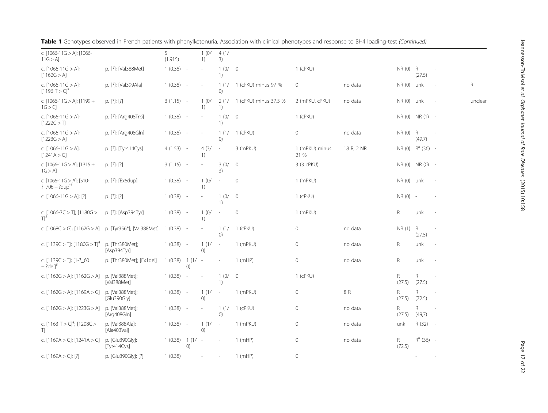| c. [1066-11G > A]; [1066-<br>$11G > A$ ]                      |                                | 5<br>(1.915) |                               | 1(0/<br>1) | 4(1/<br>3)                                              |                       |                        |            |                     |                     |                          |         |
|---------------------------------------------------------------|--------------------------------|--------------|-------------------------------|------------|---------------------------------------------------------|-----------------------|------------------------|------------|---------------------|---------------------|--------------------------|---------|
| c. $[1066-11G > A]$ ;<br>[1162G > A]                          | p. [?]; [Val388Met]            | 1(0.38)      | $\sim$                        |            | 1(0/<br>$\left( \begin{array}{c} 1 \end{array} \right)$ | $\overline{0}$        | 1 (cPKU)               |            | $NR(0)$ R           | (27.5)              | $\overline{\phantom{a}}$ |         |
| c. $[1066-11G > A]$ ;<br>$[1196 T > C]$ <sup>#</sup>          | p. [?]; [Val399Ala]            | 1(0.38)      | $\sim$                        |            | 1(1/<br>$\left( 0\right)$                               | 1 (cPKU) minus 97 %   | $\mathbf{0}$           | no data    | $NR(0)$ unk         |                     |                          | R       |
| c. $[1066-11G > A]$ ; $[1199+$<br>1G > C                      | p. [?]; [?]                    | $3(1.15) -$  |                               | 1(0/<br>1) | 2(1/<br>$\left( \frac{1}{2} \right)$                    | 1 (cPKU) minus 37.5 % | 2 (mPKU, cPKU)         | no data    | $NR(0)$ unk         |                     | $\overline{\phantom{a}}$ | unclear |
| c. $[1066-11G > A];$<br>[1222C > T]                           | p. [?]; [Arg408Trp]            | $1(0.38) -$  |                               |            | 1(0/<br>1)                                              | $\overline{0}$        | 1 (cPKU)               |            |                     | NR (0) NR (1) -     |                          |         |
| c. $[1066 - 11G > A]$ ;<br>[1223G > A]                        | p. [?]; [Arg408Gln]            | $1(0.38) -$  |                               |            | 1(1/<br>$\left( 0\right)$                               | 1 (cPKU)              | 0                      | no data    | $NR(0)$ R           | (49.7)              | $\overline{\phantom{a}}$ |         |
| c. $[1066-11G > A]$ ;<br>[1241A > G]                          | p. [?]; [Tyr414Cys]            | $4(1.53) -$  |                               | 4(3/<br>1) | $\sim$                                                  | 3 (mPKU)              | 1 (mPKU) minus<br>21 % | 18 R; 2 NR |                     | $NR(0)$ $R^a(36)$ - |                          |         |
| c. [1066-11G > A]; [1315 +<br>$1G > A$ ]                      | p. [?]; [?]                    | $3(1.15) -$  |                               |            | 3(0/<br>3)                                              | $\overline{0}$        | 3 (3 cPKU)             |            |                     | NR (0) NR (0) -     |                          |         |
| c. [1066-11G > A]; [510-<br>? $706 + ?dup$ <sup>#</sup>       | p. [?]; [Ex6dup]               | $1(0.38) -$  |                               | 1(0/<br>1) | $\sim$                                                  | $\overline{0}$        | 1 (mPKU)               |            | NR (0) unk          |                     | $\overline{\phantom{a}}$ |         |
| c. $[1066-11G > A]$ ; [?]                                     | p. [?]; [?]                    | $1(0.38) -$  |                               |            | 1(0/<br>1)                                              | $\overline{0}$        | 1 (cPKU)               |            | $NR(0) -$           |                     |                          |         |
| c. $[1066-3C>$ T <sub>1</sub> ; $[1180G>$<br>$\Pi^{\text{f}}$ | p. [?]; [Asp394Tyr]            | $1(0.38) -$  |                               | 1(0/<br>1) | $\sim$                                                  | $\mathbf 0$           | 1 (mPKU)               |            | $\mathsf R$         | unk                 | $\overline{\phantom{a}}$ |         |
| c. [1068C > G]; [1162G > A] p. [Tyr356*]; [Val388Met]         |                                | 1(0.38)      | $\sim$                        |            | 1(1/<br>()                                              | 1 (cPKU)              | $\mathbf 0$            | no data    | $NR(1)$ R           | (27.5)              | $\sim$                   |         |
| c. $[1139C > T]$ ; $[1180G > T]$ <sup>#</sup>                 | p. [Thr380Met];<br>[Asp394Tyr] | 1(0.38)      | $\sim$                        | 1(1/<br>() | $\sim$                                                  | 1 (mPKU)              | $\mathbf{0}$           | no data    | R                   | unk                 | $\overline{\phantom{a}}$ |         |
| c. $[1139C > T]$ ; $[1-?$ 60<br>$+?del]$ <sup>#</sup>         | p. [Thr380Met]; [Ex1del]       | 1(0.38)      | $1(1/$ -<br>$\left( 0\right)$ |            |                                                         | $1$ (mHP)             | $\mathbf{0}$           | no data    | R                   | unk                 | $\overline{\phantom{a}}$ |         |
| c. $[1162G > A]$ ; $[1162G > A]$                              | p. [Val388Met];<br>[Val388Met] | 1(0.38)      |                               |            | 1(0/<br>1)                                              | $\circ$               | 1 (cPKU)               |            | ${\sf R}$<br>(27.5) | R<br>(27.5)         | $\overline{\phantom{a}}$ |         |
| c. $[1162G > A]$ ; $[1169A > G]$                              | p. [Val388Met];<br>[Glu390Gly] | 1(0.38)      | $\sim$                        | 1(1/<br>() | $\sim$                                                  | 1 (mPKU)              | $\mathbf 0$            | 8 R        | R<br>(27.5)         | R<br>(72.5)         | $\overline{\phantom{a}}$ |         |
| c. $[1162G > A]$ ; $[1223G > A]$                              | p. [Val388Met];<br>[Arg408Gln] | 1(0.38)      | $\sim$                        |            | 1(1/<br>()                                              | 1 (cPKU)              | $\mathbf{0}$           | no data    | R<br>(27.5)         | R.<br>(49,7)        | $\overline{\phantom{a}}$ |         |
| c. $[1163 T > C]^{\#}$ ; $[1208 C >$<br>T.                    | p. [Val388Ala];<br>[Ala403Val] | 1(0.38)      | $\sim$                        | 1(1/<br>() | $\overline{\phantom{a}}$                                | 1 (mPKU)              | $\mathbf 0$            | no data    | unk                 | $R(32) -$           |                          |         |
| c. [1169A > G]; [1241A > G]                                   | p. [Glu390Gly];<br>[Tyr414Cys] | 1(0.38)      | $1(1/ -$<br>()                |            |                                                         | $1$ (mHP)             | $\mathbf{0}$           | no data    | R<br>(72.5)         | $R^a$ (36) -        |                          |         |

c. [1169A > G]; [?] p. [Glu390Gly]; [?] 1 (0.38) - - 1 (mHP) 0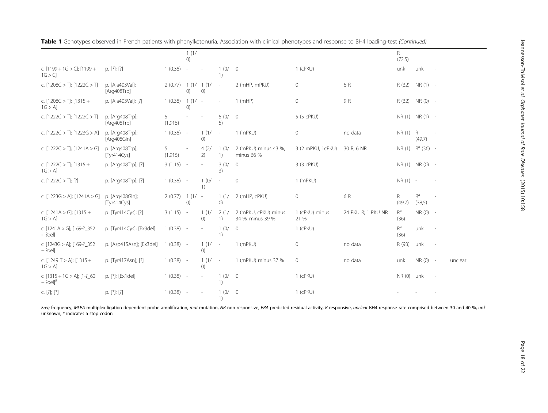|                                                            |                                |              | 1(1/<br>()                   |                          |                                                        |                                          |                        |                    | R<br>(72.5)                     |                 |        |         |
|------------------------------------------------------------|--------------------------------|--------------|------------------------------|--------------------------|--------------------------------------------------------|------------------------------------------|------------------------|--------------------|---------------------------------|-----------------|--------|---------|
| c. $[1199 + 1G > G]$ ; $[1199 +$<br>1G > Cl                | p. [?]; [?]                    | 1(0.38)      | $\sim$                       |                          | 1(0/<br>1)                                             | $\overline{0}$                           | $1$ (cPKU)             |                    | unk                             | unk             |        |         |
| c. $[1208C > T]$ ; $[1222C > T]$                           | p. [Ala403Val];<br>[Arg408Trp] | 2(0.77)      | 1(1/<br>(0)                  | 1(1/<br>()               | $\sim$                                                 | 2 (mHP, mPKU)                            | $\circ$                | 6 R                | R (32)                          | $NR(1) -$       |        |         |
| c. $[1208C > T]$ ; $[1315 +$<br>$1G > A$ ]                 | p. [Ala403Val]; [?]            | 1(0.38)      | $1(1/-$<br>$\left( 0\right)$ |                          |                                                        | $1$ (mHP)                                | 0                      | 9 R                | R (32)                          | $NR(0) -$       |        |         |
| c. $[1222C > T]$ ; $[1222C > T]$                           | p. [Arg408Trp];<br>[Arg408Trp] | 5<br>(1.915) |                              | $\sim$                   | 5(0/<br>5)                                             | $\overline{0}$                           | 5 (5 cPKU)             |                    |                                 | NR (1) NR (1) - |        |         |
| c. [1222C > T]; [1223G > A]                                | p. [Arg408Trp];<br>[Arg408Gln] | 1(0.38)      | $\sim$                       | 1(1/<br>()               | $\overline{\phantom{a}}$                               | 1 (mPKU)                                 | $\circ$                | no data            | $NR(1)$ R                       | (49.7)          | $\sim$ |         |
| c. $[1222C > T]$ ; $[1241A > G]$                           | p. [Arg408Trp];<br>[Tyr414Cys] | 5<br>(1.915) | L,                           | 4(2/<br>2)               | 1(0/<br>1)                                             | 2 (mPKU) minus 43 %,<br>minus 66 %       | 3 (2 mPKU, 1cPKU)      | 30 R; 6 NR         | NR (1)                          | $R^a$ (36) -    |        |         |
| c. $[1222C > T]$ ; $[1315 +$<br>$1G > A$ ]                 | p. [Arg408Trp]; [?]            | $3(1.15) -$  |                              | $\sim$                   | 3(0/<br>3)                                             | $\overline{0}$                           | 3 (3 cPKU)             |                    |                                 | NR (1) NR (0) - |        |         |
| c. $[1222C > T]; [?)$                                      | p. [Arg408Trp]; [?]            | $1(0.38) -$  |                              | 1(0/<br>1)               | ٠                                                      | $\overline{0}$                           | 1 (mPKU)               |                    | $NR(1) -$                       |                 |        |         |
| c. $[1223G > A]$ ; $[1241A > G]$                           | p. [Arg408Gln];<br>[Tyr414Cys] | 2(0.77)      | $1(1/-$<br>$\left( 0\right)$ |                          | 1(1/<br>()                                             | 2 (mHP, cPKU)                            | 0                      | 6 R                | R<br>(49.7)                     | $R^a$<br>(38,5) |        |         |
| c. $[1241A > G]$ ; $[1315 +$<br>1G > AI                    | p. [Tyr414Cys]; [?]            | $3(1.15) -$  |                              | 1(1/<br>()               | 2(1/<br>$\left( \begin{matrix} 1 \end{matrix} \right)$ | 2 (mPKU, cPKU) minus<br>34 %, minus 39 % | 1 (cPKU) minus<br>21 % | 24 PKU R; 1 PKU NR | $R^a$<br>(36)                   | $NR(0) -$       |        |         |
| c. [1241A > G]; [169-?_352<br>$+ ?del]$                    | p. [Tyr414Cys]; [Ex3del]       | $1(0.38) -$  |                              | $\overline{\phantom{a}}$ | 1(0/<br>1)                                             | $\overline{0}$                           | $1$ (cPKU)             |                    | $\mathsf{R}^\mathrm{a}$<br>(36) | unk             |        |         |
| c. [1243G > A]; [169-? 352<br>$+ ?del]$                    | p. [Asp415Asn]; [Ex3del]       | $1(0.38) -$  |                              | 1(1/<br>O)               | $\sim$                                                 | 1 (mPKU)                                 | $\mathsf{O}\xspace$    | no data            | R (93)                          | unk             |        |         |
| c. $[1249 T > A]$ ; $[1315 +$<br>1G > A                    | p. [Tyr417Asn]; [?]            | $1(0.38) -$  |                              | 1(1/<br>()               | $\sim$                                                 | 1 (mPKU) minus 37 %                      | $\mathbb O$            | no data            | unk                             | $NR(0) -$       |        | unclear |
| c. $[1315 + 1G > A]$ ; $[1-?$ 60<br>$+$ ?del] <sup>#</sup> | p. [?]; [Ex1del]               | $1(0.38) -$  |                              | $\sim$                   | 1(0/<br>1)                                             | $\overline{0}$                           | $1$ (cPKU)             |                    | NR(0)                           | unk             |        |         |
| c. [?]; [?]                                                | p. $[?]; [?]$                  | 1(0.38)      | $\sim$                       |                          | 1(0/<br>1)                                             | $\overline{0}$                           | 1 (cPKU)               |                    |                                 |                 |        |         |

Freq frequency, MLPA multiplex ligation-dependent probe amplification, mut mutation, NR non responsive, PRA predicted residual activity, R responsive, unclear BH4-response rate comprised between 30 and 40 %, unk unknown, \* indicates a stop codon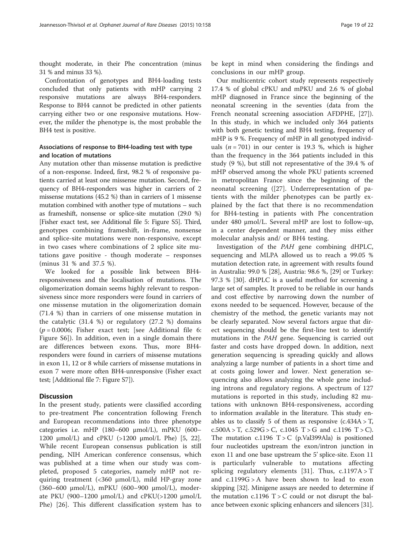<span id="page-18-0"></span>thought moderate, in their Phe concentration (minus 31 % and minus 33 %).

Confrontation of genotypes and BH4-loading tests concluded that only patients with mHP carrying 2 responsive mutations are always BH4-responders. Response to BH4 cannot be predicted in other patients carrying either two or one responsive mutations. However, the milder the phenotype is, the most probable the BH4 test is positive.

# Associations of response to BH4-loading test with type and location of mutations

Any mutation other than missense mutation is predictive of a non-response. Indeed, first, 98.2 % of responsive patients carried at least one missense mutation. Second, frequency of BH4-responders was higher in carriers of 2 missense mutations (45.2 %) than in carriers of 1 missense mutation combined with another type of mutations – such as frameshift, nonsense or splice-site mutation (29.0 %) [Fisher exact test, see Additional file [5](#page-20-0): Figure S5]. Third, genotypes combining frameshift, in-frame, nonsense and splice-site mutations were non-responsive, except in two cases where combinations of 2 splice site mutations gave positive - though moderate – responses (minus 31 % and 37.5 %).

We looked for a possible link between BH4 responsiveness and the localisation of mutations. The oligomerization domain seems highly relevant to responsiveness since more responders were found in carriers of one missense mutation in the oligomerization domain (71.4 %) than in carriers of one missense mutation in the catalytic (31.4 %) or regulatory (27.2 %) domains  $(p = 0.0006;$  Fisher exact test; [see Additional file [6](#page-20-0): Figure S6]). In addition, even in a single domain there are differences between exons. Thus, more BH4 responders were found in carriers of missense mutations in exon 11, 12 or 8 while carriers of missense mutations in exon 7 were more often BH4-unresponsive (Fisher exact test; [Additional file [7](#page-20-0): Figure S7]).

# **Discussion**

In the present study, patients were classified according to pre-treatment Phe concentration following French and European recommendations into three phenotype categories i.e. mHP (180–600 μmol/L), mPKU (600– 1200 μmol/L) and cPKU (>1200 μmol/L Phe) [\[5](#page-21-0), [22](#page-21-0)]. While recent European consensus publication is still pending, NIH American conference consensus, which was published at a time when our study was completed, proposed 5 categories, namely mHP not requiring treatment (<360 μmol/L), mild HP-gray zone (360–600 μmol/L), mPKU (600–900 μmol/L), moderate PKU (900–1200 μmol/L) and  $c$ PKU(>1200 μmol/L Phe) [\[26](#page-21-0)]. This different classification system has to

be kept in mind when considering the findings and conclusions in our mHP group.

Our multicentric cohort study represents respectively 17.4 % of global cPKU and mPKU and 2.6 % of global mHP diagnosed in France since the beginning of the neonatal screening in the seventies (data from the French neonatal screening association AFDPHE, [\[27](#page-21-0)]). In this study, in which we included only 364 patients with both genetic testing and BH4 testing, frequency of mHP is 9 %. Frequency of mHP in all genotyped individuals  $(n = 701)$  in our center is 19.3 %, which is higher than the frequency in the 364 patients included in this study (9 %), but still not representative of the 39.4 % of mHP observed among the whole PKU patients screened in metropolitan France since the beginning of the neonatal screening ([[27\]](#page-21-0). Underrepresentation of patients with the milder phenotypes can be partly explained by the fact that there is no recommendation for BH4-testing in patients with Phe concentration under 480 μmol/L. Several mHP are lost to follow-up, in a center dependent manner, and they miss either molecular analysis and/ or BH4 testing.

Investigation of the PAH gene combining dHPLC, sequencing and MLPA allowed us to reach a 99.05 % mutation detection rate, in agreement with results found in Australia: 99.0 % [[28\]](#page-21-0), Austria: 98.6 %, [\[29](#page-21-0)] or Turkey: 97.3 % [[30](#page-21-0)]. dHPLC is a useful method for screening a large set of samples. It proved to be reliable in our hands and cost effective by narrowing down the number of exons needed to be sequenced. However, because of the chemistry of the method, the genetic variants may not be clearly separated. Now several factors argue that direct sequencing should be the first-line test to identify mutations in the PAH gene. Sequencing is carried out faster and costs have dropped down. In addition, next generation sequencing is spreading quickly and allows analyzing a large number of patients in a short time and at costs going lower and lower. Next generation sequencing also allows analyzing the whole gene including introns and regulatory regions. A spectrum of 127 mutations is reported in this study, including 82 mutations with unknown BH4-responsiveness, according to information available in the literature. This study enables us to classify 5 of them as responsive  $(c.434A > T,$  $c.500A > T$ ,  $c.529G > C$ ,  $c.1045T > G$  and  $c.1196T > C$ ). The mutation  $c.1196$  T  $>$  C (p.Val399Ala) is positioned four nucleotides upstream the exon/intron junction in exon 11 and one base upstream the 5' splice-site. Exon 11 is particularly vulnerable to mutations affecting splicing regulatory elements [[31\]](#page-21-0). Thus, c.1197A > T and c.1199G > A have been shown to lead to exon skipping [[32](#page-21-0)]. Minigene assays are needed to determine if the mutation  $c.1196$  T  $>$  C could or not disrupt the balance between exonic splicing enhancers and silencers [[31](#page-21-0)].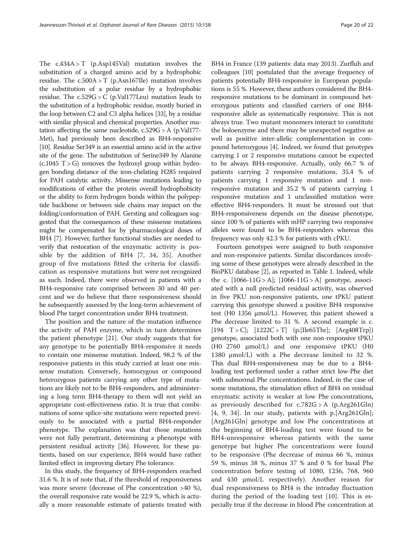The  $c.434A > T$  (p.Asp145Val) mutation involves the substitution of a charged amino acid by a hydrophobic residue. The  $c.500A > T$  (p.Asn167Ile) mutation involves the substitution of a polar residue by a hydrophobic residue. The c.529G > C (p.Val177Leu) mutation leads to the substitution of a hydrophobic residue, mostly buried in the loop between C2 and C3 alpha helices [[33](#page-21-0)], by a residue with similar physical and chemical properties. Another mutation affecting the same nucleotide, c.529G > A (p.Val177- Met), had previously been described as BH4-responsive [[10](#page-21-0)]. Residue Ser349 is an essential amino acid in the active site of the gene. The substitution of Serine349 by Alanine  $(c.1045 T > G)$  removes the hydroxyl group within hydrogen bonding distance of the iron-chelating H285 required for PAH catalytic activity. Missense mutations leading to modifications of either the protein overall hydrophobicity or the ability to form hydrogen bonds within the polypeptide backbone or between side chains may impact on the folding/conformation of PAH. Gersting and colleagues suggested that the consequences of these missense mutations might be compensated for by pharmacological doses of BH4 [[7](#page-21-0)]. However, further functional studies are needed to verify that restoration of the enzymatic activity is possible by the addition of BH4 [[7, 34](#page-21-0), [35\]](#page-21-0). Another group of five mutations fitted the criteria for classification as responsive mutations but were not recognized as such. Indeed, there were observed in patients with a BH4-responsive rate comprised between 30 and 40 percent and we do believe that there responsiveness should be subsequently assessed by the long-term achievement of blood Phe target concentration under BH4 treatment.

The position and the nature of the mutation influence the activity of PAH enzyme, which in turn determines the patient phenotype [[21](#page-21-0)]. Our study suggests that for any genotype to be potentially BH4-responsive it needs to contain one missense mutation. Indeed, 98.2 % of the responsive patients in this study carried at least one missense mutation. Conversely, homozygous or compound heterozygous patients carrying any other type of mutations are likely not to be BH4-responders, and administering a long term BH4-therapy to them will not yield an appropriate cost-effectiveness ratio. It is true that combinations of some splice-site mutations were reported previously to be associated with a partial BH4-responder phenotype. The explanation was that those mutations were not fully penetrant, determining a phenotype with persistent residual activity [\[36\]](#page-21-0). However, for these patients, based on our experience, BH4 would have rather limited effect in improving dietary Phe tolerance.

In this study, the frequency of BH4-responders reached 31.6 %. It is of note that, if the threshold of responsiveness was more severe (decrease of Phe concentration >40 %), the overall responsive rate would be 22.9 %, which is actually a more reasonable estimate of patients treated with

BH4 in France (139 patients: data may 2013). Zurfluh and colleagues [\[10\]](#page-21-0) postulated that the average frequency of patients potentially BH4-responsive in European populations is 55 %. However, these authors considered the BH4 responsive mutations to be dominant in compound heterozygous patients and classified carriers of one BH4 responsive allele as systematically responsive. This is not always true. Two mutant monomers interact to constitute the holoenzyme and there may be unexpected negative as well as positive inter-allelic complementation in compound heterozygous [[4\]](#page-21-0). Indeed, we found that genotypes carrying 1 or 2 responsive mutations cannot be expected to be always BH4-responsive. Actually, only 66.7 % of patients carrying 2 responsive mutations, 35.4 % of patients carrying 1 responsive mutation and 1 nonresponsive mutation and 35.2 % of patients carrying 1 responsive mutation and 1 unclassified mutation were effective BH4-responders. It must be stressed out that BH4-responsiveness depends on the disease phenotype, since 100 % of patients with mHP carrying two responsive alleles were found to be BH4-responders whereas this frequency was only 42.3 % for patients with cPKU.

Fourteen genotypes were assigned to both responsive and non-responsive patients. Similar discordances involving some of these genotypes were already described in the BioPKU database [[2\]](#page-21-0), as reported in Table [1](#page-4-0). Indeed, while the c.  $[1066-11G > A]$ ;  $[1066-11G > A]$  genotype, associated with a null predicted residual activity, was observed in five PKU non-responsive patients, one tPKU patient carrying this genotype showed a positive BH4 responsive test (H0 1356 μmol/L). However, this patient showed a Phe decrease limited to 31 %. A second example is c.  $[194 \text{ T} > \text{C}]$ ;  $[1222\text{C} > \text{T}]$  (p. [Ile65Thr];  $[\text{Arg}408\text{Trp}]$ ) genotype, associated both with one non-responsive tPKU (H0 2760 μmol/L) and one responsive tPKU (H0 1380 μmol/L) with a Phe decrease limited to 32 %. This dual BH4-responsiveness may be due to a BH4 loading test performed under a rather strict low-Phe diet with subnormal Phe concentrations. Indeed, in the case of some mutations, the stimulation effect of BH4 on residual enzymatic activity is weaker at low Phe concentrations, as previously described for  $c.782G > A$  (p.Arg261Gln) [[4, 9](#page-21-0), [34](#page-21-0)]. In our study, patients with p.[Arg261Gln]; [Arg261Gln] genotype and low Phe concentrations at the beginning of BH4-loading test were found to be BH4-unresponsive whereas patients with the same genotype but higher Phe concentrations were found to be responsive (Phe decrease of minus 66 %, minus 59 %, minus 38 %, minus 37 % and 0 % for basal Phe concentration before testing of 1080, 1236, 768, 960 and 430 μmol/L respectively). Another reason for dual responsiveness to BH4 is the intraday fluctuation during the period of the loading test [\[10](#page-21-0)]. This is especially true if the decrease in blood Phe concentration at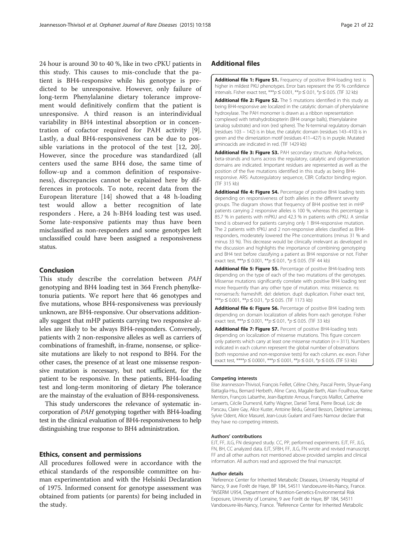<span id="page-20-0"></span>24 hour is around 30 to 40 %, like in two cPKU patients in this study. This causes to mis-conclude that the patient is BH4-responsive while his genotype is predicted to be unresponsive. However, only failure of long-term Phenylalanine dietary tolerance improvement would definitively confirm that the patient is unresponsive. A third reason is an interindividual variability in BH4 intestinal absorption or in concentration of cofactor required for PAH activity [\[9](#page-21-0)]. Lastly, a dual BH4-responsiveness can be due to possible variations in the protocol of the test [\[12](#page-21-0), [20](#page-21-0)]. However, since the procedure was standardized (all centers used the same BH4 dose, the same time of follow-up and a common definition of responsiveness), discrepancies cannot be explained here by differences in protocols. To note, recent data from the European literature [[14\]](#page-21-0) showed that a 48 h-loading test would allow a better recognition of late responders . Here, a 24 h-BH4 loading test was used. Some late-responsive patients may thus have been misclassified as non-responders and some genotypes left unclassified could have been assigned a responsiveness status.

# Conclusion

This study describe the correlation between PAH genotyping and BH4 loading test in 364 French phenylketonuria patients. We report here that 46 genotypes and five mutations, whose BH4-responsiveness was previously unknown, are BH4-responsive. Our observations additionally suggest that mHP patients carrying two responsive alleles are likely to be always BH4-responders. Conversely, patients with 2 non-responsive alleles as well as carriers of combinations of frameshift, in-frame, nonsense, or splicesite mutations are likely to not respond to BH4. For the other cases, the presence of at least one missense responsive mutation is necessary, but not sufficient, for the patient to be responsive. In these patients, BH4-loading test and long-term monitoring of dietary Phe tolerance are the mainstay of the evaluation of BH4-responsiveness.

This study underscores the relevance of systematic incorporation of PAH genotyping together with BH4-loading test in the clinical evaluation of BH4-responsiveness to help distinguishing true response to BH4 administration.

# Ethics, consent and permissions

All procedures followed were in accordance with the ethical standards of the responsible committee on human experimentation and with the Helsinki Declaration of 1975. Informed consent for genotype assessment was obtained from patients (or parents) for being included in the study.

# Additional files

[Additional file 1: Figure S1.](dx.doi.org/10.1186/s13023-015-0375-x) Frequency of positive BH4-loading test is higher in mildest PKU phenotypes. Error bars represent the 95 % confidence intervals. Fisher exact test, \*\*\* $p \le 0.001$ , \*\* $p \le 0.01$ , \* $p \le 0.05$ . (TIF 32 kb)

[Additional file 2: Figure S2.](dx.doi.org/10.1186/s13023-015-0375-x) The 5 mutations identified in this study as being BH4-responsive are localized in the catalytic domain of phenylalanine hydroxylase. The PAH monomer is drawn as a ribbon representation complexed with tetrahydrobiopterin (BH4 orange balls), thienylalanine (analog substrate) and iron (red sphere). The N-terminal regulatory domain (residues 103 – 142) is in blue, the catalytic domain (residues 143–410) is in green and the dimerization motif (residues 411–427) is in purple. Mutated aminoacids are indicated in red. (TIF 1429 kb)

[Additional file 3: Figure S3.](dx.doi.org/10.1186/s13023-015-0375-x) PAH secondary structure. Alpha-helices, beta-strands and turns across the regulatory, catalytic and oligomerization domains are indicated. Important residues are represented as well as the position of the five mutations identified in this study as being BH4 responsive. ARS: Autoregulatory sequence, CBR: Cofactor binding region. (TIF 315 kb)

[Additional file 4: Figure S4.](dx.doi.org/10.1186/s13023-015-0375-x) Percentage of positive BH4 loading tests depending on responsiveness of both alleles in the different severity groups. The diagram shows that frequency of BH4 positive test in mHP patients carrying 2 responsive alleles is 100 %, whereas this percentage is 85.7 % in patients with mPKU and 42.3 % in patients with cPKU. A similar trend is observed for patients carrying only 1 BH4-responsive mutation. The 2 patients with tPKU and 2 non-responsive alleles classified as BH4 responders, moderately lowered the Phe concentrations (minus 31 % and minus 33 %). This decrease would be clinically irrelevant as developed in the discussion and highlights the importance of combining genotyping and BH4 test before classifying a patient as BH4 responsive or not. Fisher exact test, \*\*\* $p \le 0.001$ , \*\* $p \le 0.01$ , \* $p \le 0.05$ . (TIF 44 kb)

[Additional file 5: Figure S5.](dx.doi.org/10.1186/s13023-015-0375-x) Percentage of positive BH4-loading tests depending on the type of each of the two mutations of the genotypes. Missense mutations significantly correlate with positive BH4 loading test more frequently than any other type of mutation. miss: missence. ns: nonsense.fs: frameshift. del: deletion. dupl: duplication. Fisher exact test,  $\mathbf{f}^{**}$ p ≤ 0.001,  $\mathbf{f}^{**}$ p ≤ 0.01,  $\mathbf{f}$ p ≤ 0.05. (TIF 1173 kb)

[Additional file 6: Figure S6.](dx.doi.org/10.1186/s13023-015-0375-x) Percentage of positive BH4 loading tests depending on domain localization of alleles from each genotype. Fisher exact test, \*\*\* $p \le 0.001$ , \*\* $p \le 0.01$ , \* $p \le 0.05$ . (TIF 33 kb)

[Additional file 7: Figure S7.](dx.doi.org/10.1186/s13023-015-0375-x) Percent of positive BH4-loading tests depending on localization of missense mutations. This figure concern only patients which carry at least one missense mutation ( $n = 311$ ). Numbers indicated in each column represent the global number of observations (both responsive and non-responsive tests) for each column. ex: exon. Fisher exact test, \*\*\*\*p  $\leq 0.0001$ , \*\*\*p  $\leq 0.001$ , \*\*p  $\leq 0.01$ , \*p  $\leq 0.05$ . (TIF 53 kb)

#### Competing interests

Elise Jeannesson-Thivisol, François Feillet, Céline Chéry, Pascal Perrin, Shyue-Fang Battaglia-Hsu, Bernard Herbeth, Aline Cano, Magalie Barth, Alain Fouilhoux, Karine Mention, François Labarthe, Jean-Baptiste Arnoux, François Maillot, Catherine Lenaerts, Cécile Dumesnil, Kathy Wagner, Daniel Terral, Pierre Broué, Loïc de Parscau, Claire Gay, Alice Kuster, Antoine Bédu, Gérard Besson, Delphine Lamireau, Sylvie Odent, Alice Masurel, Jean-Louis Guéant and Fares Namour declare that they have no competing interests.

#### Authors' contributions

EJT, FF, JLG, FN designed study. CC, PP, performed experiments. EJT, FF, JLG, FN, BH, CC analyzed data. EJT, SFBH, FF, JLG, FN wrote and revised manuscript. FF and all other authors not mentioned above provided samples and clinical information. All authors read and approved the final manuscript.

#### Author details

<sup>1</sup>Reference Center for Inherited Metabolic Diseases, University Hospital of Nancy, 9 ave Forêt de Haye, BP 184, 54511 Vandoeuvre-lès-Nancy, France. 2 INSERM U954, Department of Nutrition-Genetics-Environmental Risk Exposure, University of Lorraine, 9 ave Forêt de Haye, BP 184, 54511 Vandoeuvre-lès-Nancy, France. <sup>3</sup>Reference Center for Inherited Metabolic